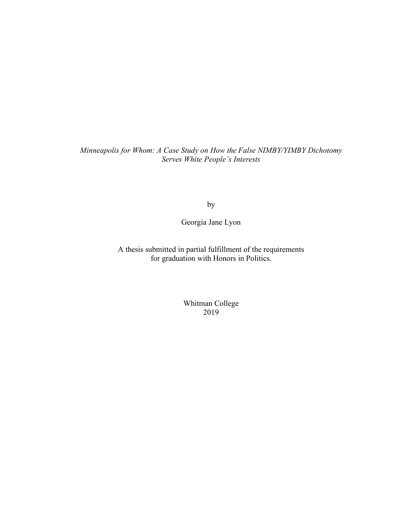*Minneapolis for Whom: A Case Study on How the False NIMBY/YIMBY Dichotomy Serves White People's Interests*

by

Georgia Jane Lyon

A thesis submitted in partial fulfillment of the requirements for graduation with Honors in Politics.

> Whitman College 2019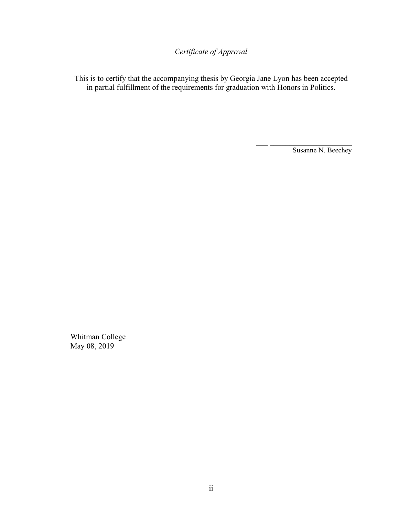*Certificate of Approval*

This is to certify that the accompanying thesis by Georgia Jane Lyon has been accepted in partial fulfillment of the requirements for graduation with Honors in Politics.

Susanne N. Beechey

 $\frac{1}{2}$  ,  $\frac{1}{2}$  ,  $\frac{1}{2}$  ,  $\frac{1}{2}$  ,  $\frac{1}{2}$  ,  $\frac{1}{2}$  ,  $\frac{1}{2}$  ,  $\frac{1}{2}$  ,  $\frac{1}{2}$  ,  $\frac{1}{2}$  ,  $\frac{1}{2}$ 

Whitman College May 08, 2019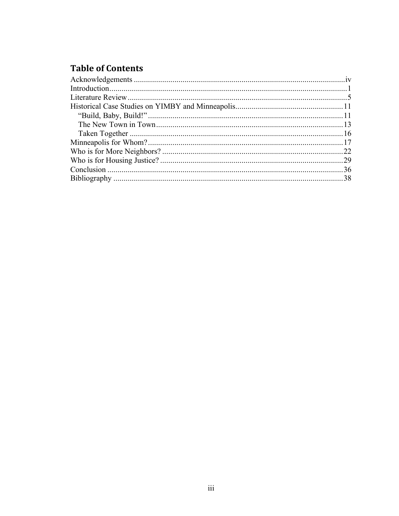# **Table of Contents**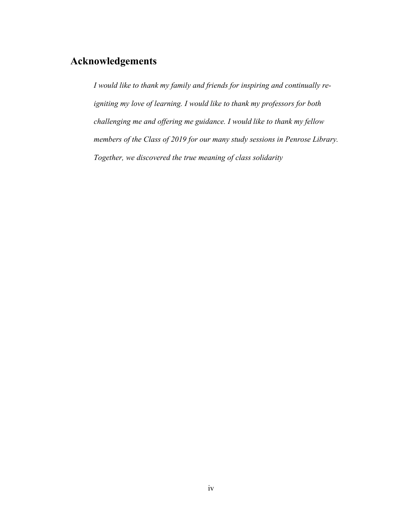## **Acknowledgements**

*I would like to thank my family and friends for inspiring and continually reigniting my love of learning. I would like to thank my professors for both challenging me and offering me guidance. I would like to thank my fellow members of the Class of 2019 for our many study sessions in Penrose Library. Together, we discovered the true meaning of class solidarity*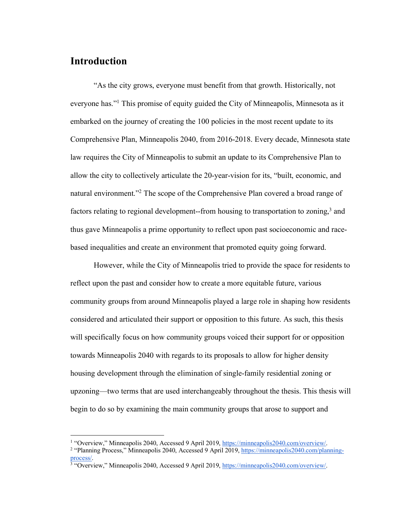## **Introduction**

"As the city grows, everyone must benefit from that growth. Historically, not everyone has."1 This promise of equity guided the City of Minneapolis, Minnesota as it embarked on the journey of creating the 100 policies in the most recent update to its Comprehensive Plan, Minneapolis 2040, from 2016-2018. Every decade, Minnesota state law requires the City of Minneapolis to submit an update to its Comprehensive Plan to allow the city to collectively articulate the 20-year-vision for its, "built, economic, and natural environment."<sup>2</sup> The scope of the Comprehensive Plan covered a broad range of factors relating to regional development--from housing to transportation to zoning,<sup>3</sup> and thus gave Minneapolis a prime opportunity to reflect upon past socioeconomic and racebased inequalities and create an environment that promoted equity going forward.

However, while the City of Minneapolis tried to provide the space for residents to reflect upon the past and consider how to create a more equitable future, various community groups from around Minneapolis played a large role in shaping how residents considered and articulated their support or opposition to this future. As such, this thesis will specifically focus on how community groups voiced their support for or opposition towards Minneapolis 2040 with regards to its proposals to allow for higher density housing development through the elimination of single-family residential zoning or upzoning—two terms that are used interchangeably throughout the thesis. This thesis will begin to do so by examining the main community groups that arose to support and

 <sup>1</sup> "Overview," Minneapolis 2040, Accessed 9 April 2019, https://minneapolis2040.com/overview/.

<sup>2</sup> "Planning Process," Minneapolis 2040, Accessed 9 April 2019, https://minneapolis2040.com/planningprocess/.  $\frac{3}{3}$  "Overview," Minneapolis 2040, Accessed 9 April 2019, https://minneapolis2040.com/overview/.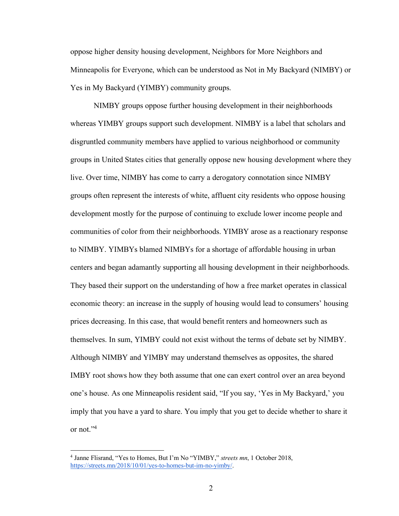oppose higher density housing development, Neighbors for More Neighbors and Minneapolis for Everyone, which can be understood as Not in My Backyard (NIMBY) or Yes in My Backyard (YIMBY) community groups.

NIMBY groups oppose further housing development in their neighborhoods whereas YIMBY groups support such development. NIMBY is a label that scholars and disgruntled community members have applied to various neighborhood or community groups in United States cities that generally oppose new housing development where they live. Over time, NIMBY has come to carry a derogatory connotation since NIMBY groups often represent the interests of white, affluent city residents who oppose housing development mostly for the purpose of continuing to exclude lower income people and communities of color from their neighborhoods. YIMBY arose as a reactionary response to NIMBY. YIMBYs blamed NIMBYs for a shortage of affordable housing in urban centers and began adamantly supporting all housing development in their neighborhoods. They based their support on the understanding of how a free market operates in classical economic theory: an increase in the supply of housing would lead to consumers' housing prices decreasing. In this case, that would benefit renters and homeowners such as themselves. In sum, YIMBY could not exist without the terms of debate set by NIMBY. Although NIMBY and YIMBY may understand themselves as opposites, the shared IMBY root shows how they both assume that one can exert control over an area beyond one's house. As one Minneapolis resident said, "If you say, 'Yes in My Backyard,' you imply that you have a yard to share. You imply that you get to decide whether to share it or not."4

 <sup>4</sup> Janne Flisrand, "Yes to Homes, But I'm No "YIMBY," *streets mn*, 1 October 2018, https://streets.mn/2018/10/01/yes-to-homes-but-im-no-yimby/.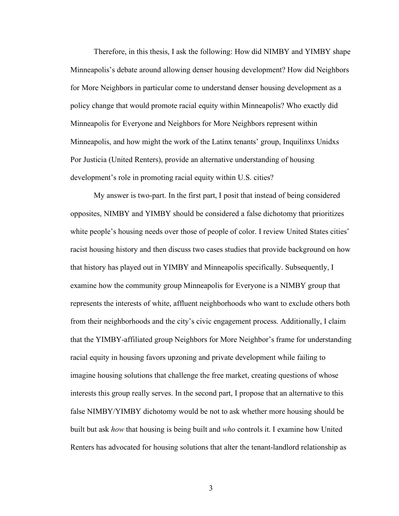Therefore, in this thesis, I ask the following: How did NIMBY and YIMBY shape Minneapolis's debate around allowing denser housing development? How did Neighbors for More Neighbors in particular come to understand denser housing development as a policy change that would promote racial equity within Minneapolis? Who exactly did Minneapolis for Everyone and Neighbors for More Neighbors represent within Minneapolis, and how might the work of the Latinx tenants' group, Inquilinxs Unidxs Por Justicia (United Renters), provide an alternative understanding of housing development's role in promoting racial equity within U.S. cities?

My answer is two-part. In the first part, I posit that instead of being considered opposites, NIMBY and YIMBY should be considered a false dichotomy that prioritizes white people's housing needs over those of people of color. I review United States cities' racist housing history and then discuss two cases studies that provide background on how that history has played out in YIMBY and Minneapolis specifically. Subsequently, I examine how the community group Minneapolis for Everyone is a NIMBY group that represents the interests of white, affluent neighborhoods who want to exclude others both from their neighborhoods and the city's civic engagement process. Additionally, I claim that the YIMBY-affiliated group Neighbors for More Neighbor's frame for understanding racial equity in housing favors upzoning and private development while failing to imagine housing solutions that challenge the free market, creating questions of whose interests this group really serves. In the second part, I propose that an alternative to this false NIMBY/YIMBY dichotomy would be not to ask whether more housing should be built but ask *how* that housing is being built and *who* controls it. I examine how United Renters has advocated for housing solutions that alter the tenant-landlord relationship as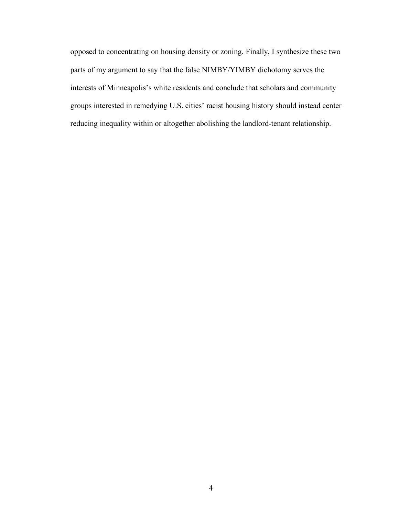opposed to concentrating on housing density or zoning. Finally, I synthesize these two parts of my argument to say that the false NIMBY/YIMBY dichotomy serves the interests of Minneapolis's white residents and conclude that scholars and community groups interested in remedying U.S. cities' racist housing history should instead center reducing inequality within or altogether abolishing the landlord-tenant relationship.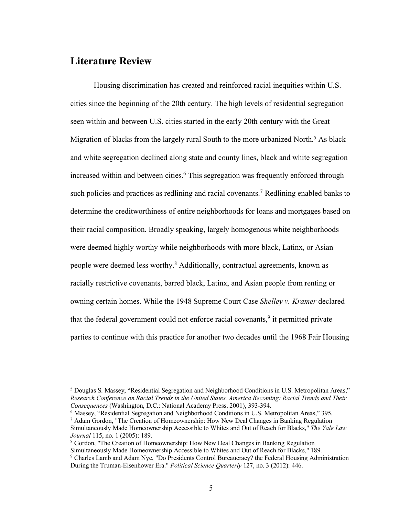## **Literature Review**

Housing discrimination has created and reinforced racial inequities within U.S. cities since the beginning of the 20th century. The high levels of residential segregation seen within and between U.S. cities started in the early 20th century with the Great Migration of blacks from the largely rural South to the more urbanized North.<sup>5</sup> As black and white segregation declined along state and county lines, black and white segregation increased within and between cities.<sup>6</sup> This segregation was frequently enforced through such policies and practices as redlining and racial covenants.<sup>7</sup> Redlining enabled banks to determine the creditworthiness of entire neighborhoods for loans and mortgages based on their racial composition. Broadly speaking, largely homogenous white neighborhoods were deemed highly worthy while neighborhoods with more black, Latinx, or Asian people were deemed less worthy.8 Additionally, contractual agreements, known as racially restrictive covenants, barred black, Latinx, and Asian people from renting or owning certain homes. While the 1948 Supreme Court Case *Shelley v. Kramer* declared that the federal government could not enforce racial covenants, <sup>9</sup> it permitted private parties to continue with this practice for another two decades until the 1968 Fair Housing

 <sup>5</sup> Douglas S. Massey, "Residential Segregation and Neighborhood Conditions in U.S. Metropolitan Areas," *Research Conference on Racial Trends in the United States. America Becoming: Racial Trends and Their Consequences* (Washington, D.C.: National Academy Press, 2001), 393-394.

<sup>6</sup> Massey, "Residential Segregation and Neighborhood Conditions in U.S. Metropolitan Areas," 395.

 $<sup>7</sup>$  Adam Gordon, "The Creation of Homeownership: How New Deal Changes in Banking Regulation</sup> Simultaneously Made Homeownership Accessible to Whites and Out of Reach for Blacks," *The Yale Law Journal* 115, no. 1 (2005): 189.<br><sup>8</sup> Gordon, "The Creation of Homeownership: How New Deal Changes in Banking Regulation

Simultaneously Made Homeownership Accessible to Whites and Out of Reach for Blacks," 189.

<sup>9</sup> Charles Lamb and Adam Nye, "Do Presidents Control Bureaucracy? the Federal Housing Administration During the Truman-Eisenhower Era." *Political Science Quarterly* 127, no. 3 (2012): 446.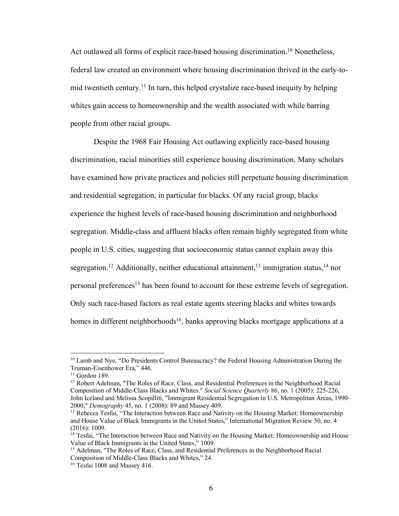Act outlawed all forms of explicit race-based housing discrimination.<sup>10</sup> Nonetheless, federal law created an environment where housing discrimination thrived in the early-tomid twentieth century.11 In turn, this helped crystalize race-based inequity by helping whites gain access to homeownership and the wealth associated with while barring people from other racial groups.

Despite the 1968 Fair Housing Act outlawing explicitly race-based housing discrimination, racial minorities still experience housing discrimination. Many scholars have examined how private practices and policies still perpetuate housing discrimination and residential segregation, in particular for blacks. Of any racial group, blacks experience the highest levels of race-based housing discrimination and neighborhood segregation. Middle-class and affluent blacks often remain highly segregated from white people in U.S. cities, suggesting that socioeconomic status cannot explain away this segregation.<sup>12</sup> Additionally, neither educational attainment,<sup>13</sup> immigration status,<sup>14</sup> nor personal preferences<sup>15</sup> has been found to account for these extreme levels of segregation. Only such race-based factors as real estate agents steering blacks and whites towards homes in different neighborhoods<sup>16</sup>, banks approving blacks mortgage applications at a

<sup>&</sup>lt;sup>10</sup> Lamb and Nye, "Do Presidents Control Bureaucracy? the Federal Housing Administration During the Truman-Eisenhower Era," 446.<br><sup>11</sup> Gordon 189.<br><sup>12</sup> Robert Adelman, "The Roles of Race, Class, and Residential Preferences in the Neighborhood Racial

Composition of Middle-Class Blacks and Whites." *Social Science Quarterly* 86, no. 1 (2005): 225-226, John Iceland and Melissa Scopilliti, "Immigrant Residential Segregation in U.S. Metropolitan Areas, 1990– 2000," *Demography* 45, no. 1 (2008): 89 and Massey 409.<br><sup>13</sup> Rebecca Tesfai, "The Interaction between Race and Nativity on the Housing Market: Homeownership

and House Value of Black Immigrants in the United States," International Migration Review 50, no. 4 (2016): 1009.

<sup>&</sup>lt;sup>14</sup> Tesfai, "The Interaction between Race and Nativity on the Housing Market: Homeownership and House Value of Black Immigrants in the United States," 1009.

<sup>&</sup>lt;sup>15</sup> Adelman, "The Roles of Race, Class, and Residential Preferences in the Neighborhood Racial Composition of Middle-Class Blacks and Whites," 24. 16 Tesfai 1008 and Massey 416.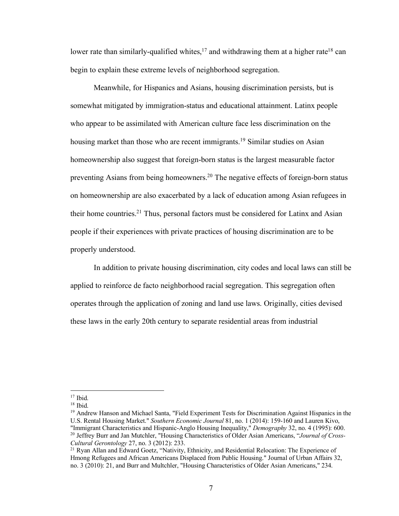lower rate than similarly-qualified whites,<sup>17</sup> and withdrawing them at a higher rate<sup>18</sup> can begin to explain these extreme levels of neighborhood segregation.

Meanwhile, for Hispanics and Asians, housing discrimination persists, but is somewhat mitigated by immigration-status and educational attainment. Latinx people who appear to be assimilated with American culture face less discrimination on the housing market than those who are recent immigrants.<sup>19</sup> Similar studies on Asian homeownership also suggest that foreign-born status is the largest measurable factor preventing Asians from being homeowners.20 The negative effects of foreign-born status on homeownership are also exacerbated by a lack of education among Asian refugees in their home countries.21 Thus, personal factors must be considered for Latinx and Asian people if their experiences with private practices of housing discrimination are to be properly understood.

In addition to private housing discrimination, city codes and local laws can still be applied to reinforce de facto neighborhood racial segregation. This segregation often operates through the application of zoning and land use laws. Originally, cities devised these laws in the early 20th century to separate residential areas from industrial

 $17$  Ibid.

<sup>18</sup> Ibid.

<sup>&</sup>lt;sup>19</sup> Andrew Hanson and Michael Santa, "Field Experiment Tests for Discrimination Against Hispanics in the U.S. Rental Housing Market." *Southern Economic Journal* 81, no. 1 (2014): 159-160 and Lauren Kivo, "Immigrant Characteristics and Hispanic-Anglo Housing Inequality," *Demography* 32, no. 4 (1995): 600. <sup>20</sup> Jeffrey Burr and Jan Mutchler, "Housing Characteristics of Older Asian Americans, "*Journal of Cross-Cultural Gerontology* 27, no. 3 (2012): 233.

<sup>&</sup>lt;sup>21</sup> Ryan Allan and Edward Goetz, "Nativity, Ethnicity, and Residential Relocation: The Experience of Hmong Refugees and African Americans Displaced from Public Housing." Journal of Urban Affairs 32, no. 3 (2010): 21, and Burr and Multchler, "Housing Characteristics of Older Asian Americans," 234.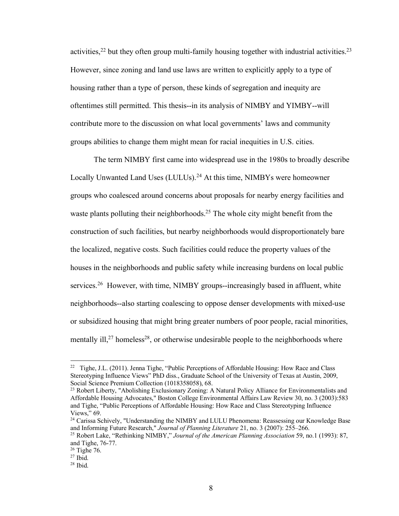activities,  $2<sup>2</sup>$  but they often group multi-family housing together with industrial activities.  $2<sup>3</sup>$ However, since zoning and land use laws are written to explicitly apply to a type of housing rather than a type of person, these kinds of segregation and inequity are oftentimes still permitted. This thesis--in its analysis of NIMBY and YIMBY--will contribute more to the discussion on what local governments' laws and community groups abilities to change them might mean for racial inequities in U.S. cities.

The term NIMBY first came into widespread use in the 1980s to broadly describe Locally Unwanted Land Uses (LULUs).<sup>24</sup> At this time, NIMBYs were homeowner groups who coalesced around concerns about proposals for nearby energy facilities and waste plants polluting their neighborhoods.<sup>25</sup> The whole city might benefit from the construction of such facilities, but nearby neighborhoods would disproportionately bare the localized, negative costs. Such facilities could reduce the property values of the houses in the neighborhoods and public safety while increasing burdens on local public services.<sup>26</sup> However, with time, NIMBY groups--increasingly based in affluent, white neighborhoods--also starting coalescing to oppose denser developments with mixed-use or subsidized housing that might bring greater numbers of poor people, racial minorities, mentally ill,<sup>27</sup> homeless<sup>28</sup>, or otherwise undesirable people to the neighborhoods where

<sup>&</sup>lt;sup>22</sup> Tighe, J.L. (2011). Jenna Tighe, "Public Perceptions of Affordable Housing: How Race and Class Stereotyping Influence Views" PhD diss., Graduate School of the University of Texas at Austin, 2009, Social Science Premium Collection (1018358058), 68.

<sup>&</sup>lt;sup>23</sup> Robert Liberty, "Abolishing Exclusionary Zoning: A Natural Policy Alliance for Environmentalists and Affordable Housing Advocates," Boston College Environmental Affairs Law Review 30, no. 3 (2003):583 and Tighe, "Public Perceptions of Affordable Housing: How Race and Class Stereotyping Influence

<sup>&</sup>lt;sup>24</sup> Carissa Schively, "Understanding the NIMBY and LULU Phenomena: Reassessing our Knowledge Base and Informing Future Research," *Journal of Planning Literature* 21, no. 3 (2007): 255–266.

<sup>&</sup>lt;sup>25</sup> Robert Lake, "Rethinking NIMBY," *Journal of the American Planning Association* 59, no.1 (1993): 87, and Tighe, 76-77.

 $26$  Tighe 76.

 $27$  Ibid.

<sup>28</sup> Ibid.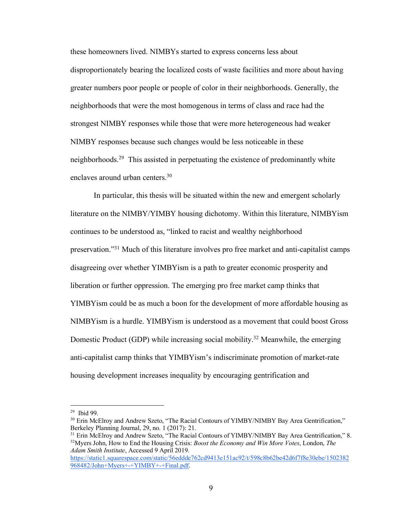these homeowners lived. NIMBYs started to express concerns less about disproportionately bearing the localized costs of waste facilities and more about having greater numbers poor people or people of color in their neighborhoods. Generally, the neighborhoods that were the most homogenous in terms of class and race had the strongest NIMBY responses while those that were more heterogeneous had weaker NIMBY responses because such changes would be less noticeable in these neighborhoods.29 This assisted in perpetuating the existence of predominantly white enclaves around urban centers. 30

In particular, this thesis will be situated within the new and emergent scholarly literature on the NIMBY/YIMBY housing dichotomy. Within this literature, NIMBYism continues to be understood as, "linked to racist and wealthy neighborhood preservation."31 Much of this literature involves pro free market and anti-capitalist camps disagreeing over whether YIMBYism is a path to greater economic prosperity and liberation or further oppression. The emerging pro free market camp thinks that YIMBYism could be as much a boon for the development of more affordable housing as NIMBYism is a hurdle. YIMBYism is understood as a movement that could boost Gross Domestic Product (GDP) while increasing social mobility.<sup>32</sup> Meanwhile, the emerging anti-capitalist camp thinks that YIMBYism's indiscriminate promotion of market-rate housing development increases inequality by encouraging gentrification and

 <sup>29</sup> Ibid 99.

<sup>&</sup>lt;sup>30</sup> Erin McElroy and Andrew Szeto, "The Racial Contours of YIMBY/NIMBY Bay Area Gentrification," Berkeley Planning Journal, 29, no. 1 (2017): 21.

<sup>&</sup>lt;sup>31</sup> Erin McElroy and Andrew Szeto, "The Racial Contours of YIMBY/NIMBY Bay Area Gentrification," 8. 32Myers John, How to End the Housing Crisis: *Boost the Economy and Win More Votes*, London, *The Adam Smith Institute*, Accessed 9 April 2019.

https://static1.squarespace.com/static/56eddde762cd9413e151ac92/t/598c8b62be42d6f7f8e30ebe/1502382 968482/John+Myers+-+YIMBY+-+Final.pdf.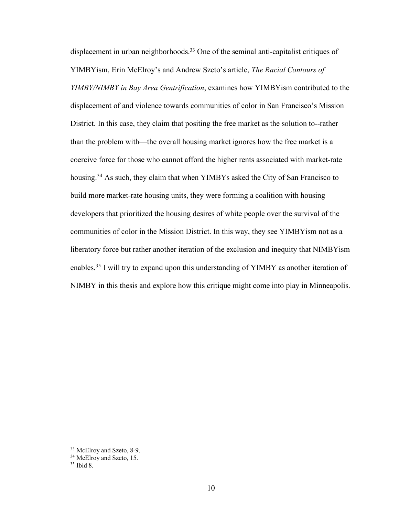displacement in urban neighborhoods.<sup>33</sup> One of the seminal anti-capitalist critiques of YIMBYism, Erin McElroy's and Andrew Szeto's article, *The Racial Contours of YIMBY/NIMBY in Bay Area Gentrification*, examines how YIMBYism contributed to the displacement of and violence towards communities of color in San Francisco's Mission District. In this case, they claim that positing the free market as the solution to--rather than the problem with—the overall housing market ignores how the free market is a coercive force for those who cannot afford the higher rents associated with market-rate housing.<sup>34</sup> As such, they claim that when YIMBYs asked the City of San Francisco to build more market-rate housing units, they were forming a coalition with housing developers that prioritized the housing desires of white people over the survival of the communities of color in the Mission District. In this way, they see YIMBYism not as a liberatory force but rather another iteration of the exclusion and inequity that NIMBYism enables.35 I will try to expand upon this understanding of YIMBY as another iteration of NIMBY in this thesis and explore how this critique might come into play in Minneapolis.

 <sup>33</sup> McElroy and Szeto, 8-9.

 $34$  McElroy and Szeto, 15.  $35$  Ibid 8.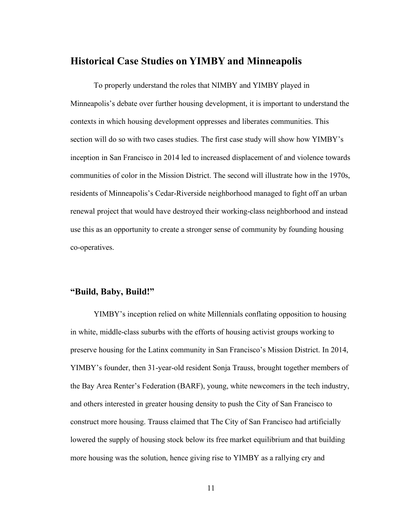#### **Historical Case Studies on YIMBY and Minneapolis**

To properly understand the roles that NIMBY and YIMBY played in Minneapolis's debate over further housing development, it is important to understand the contexts in which housing development oppresses and liberates communities. This section will do so with two cases studies. The first case study will show how YIMBY's inception in San Francisco in 2014 led to increased displacement of and violence towards communities of color in the Mission District. The second will illustrate how in the 1970s, residents of Minneapolis's Cedar-Riverside neighborhood managed to fight off an urban renewal project that would have destroyed their working-class neighborhood and instead use this as an opportunity to create a stronger sense of community by founding housing co-operatives.

#### **"Build, Baby, Build!"**

YIMBY's inception relied on white Millennials conflating opposition to housing in white, middle-class suburbs with the efforts of housing activist groups working to preserve housing for the Latinx community in San Francisco's Mission District. In 2014, YIMBY's founder, then 31-year-old resident Sonja Trauss, brought together members of the Bay Area Renter's Federation (BARF), young, white newcomers in the tech industry, and others interested in greater housing density to push the City of San Francisco to construct more housing. Trauss claimed that The City of San Francisco had artificially lowered the supply of housing stock below its free market equilibrium and that building more housing was the solution, hence giving rise to YIMBY as a rallying cry and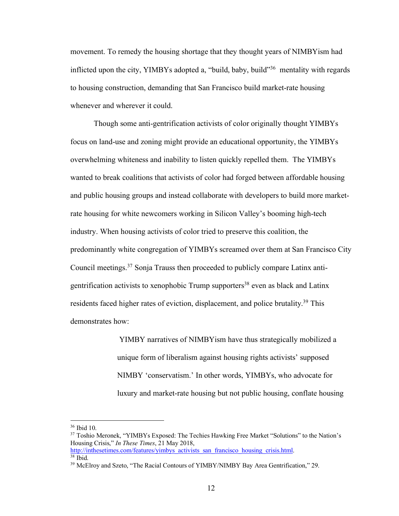movement. To remedy the housing shortage that they thought years of NIMBYism had inflicted upon the city, YIMBYs adopted a, "build, baby, build"36 mentality with regards to housing construction, demanding that San Francisco build market-rate housing whenever and wherever it could.

Though some anti-gentrification activists of color originally thought YIMBYs focus on land-use and zoning might provide an educational opportunity, the YIMBYs overwhelming whiteness and inability to listen quickly repelled them. The YIMBYs wanted to break coalitions that activists of color had forged between affordable housing and public housing groups and instead collaborate with developers to build more marketrate housing for white newcomers working in Silicon Valley's booming high-tech industry. When housing activists of color tried to preserve this coalition, the predominantly white congregation of YIMBYs screamed over them at San Francisco City Council meetings.37 Sonja Trauss then proceeded to publicly compare Latinx antigentrification activists to xenophobic Trump supporters<sup>38</sup> even as black and Latinx residents faced higher rates of eviction, displacement, and police brutality.<sup>39</sup> This demonstrates how:

> YIMBY narratives of NIMBYism have thus strategically mobilized a unique form of liberalism against housing rights activists' supposed NIMBY 'conservatism.' In other words, YIMBYs, who advocate for luxury and market-rate housing but not public housing, conflate housing

 <sup>36</sup> Ibid 10.

<sup>&</sup>lt;sup>37</sup> Toshio Meronek, "YIMBYs Exposed: The Techies Hawking Free Market "Solutions" to the Nation's Housing Crisis," *In These Times*, 21 May 2018, http://inthesetimes.com/features/yimbys\_activists\_san\_francisco\_housing\_crisis.html.

 $38$  Ibid.

<sup>&</sup>lt;sup>39</sup> McElroy and Szeto, "The Racial Contours of YIMBY/NIMBY Bay Area Gentrification," 29.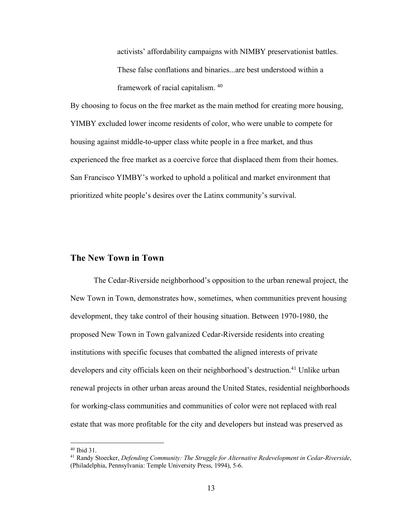activists' affordability campaigns with NIMBY preservationist battles. These false conflations and binaries...are best understood within a framework of racial capitalism. <sup>40</sup>

By choosing to focus on the free market as the main method for creating more housing, YIMBY excluded lower income residents of color, who were unable to compete for housing against middle-to-upper class white people in a free market, and thus experienced the free market as a coercive force that displaced them from their homes. San Francisco YIMBY's worked to uphold a political and market environment that prioritized white people's desires over the Latinx community's survival.

#### **The New Town in Town**

The Cedar-Riverside neighborhood's opposition to the urban renewal project, the New Town in Town, demonstrates how, sometimes, when communities prevent housing development, they take control of their housing situation. Between 1970-1980, the proposed New Town in Town galvanized Cedar-Riverside residents into creating institutions with specific focuses that combatted the aligned interests of private developers and city officials keen on their neighborhood's destruction.<sup>41</sup> Unlike urban renewal projects in other urban areas around the United States, residential neighborhoods for working-class communities and communities of color were not replaced with real estate that was more profitable for the city and developers but instead was preserved as

 <sup>40</sup> Ibid 31.

<sup>41</sup> Randy Stoecker, *Defending Community: The Struggle for Alternative Redevelopment in Cedar-Riverside*, (Philadelphia, Pennsylvania: Temple University Press, 1994), 5-6.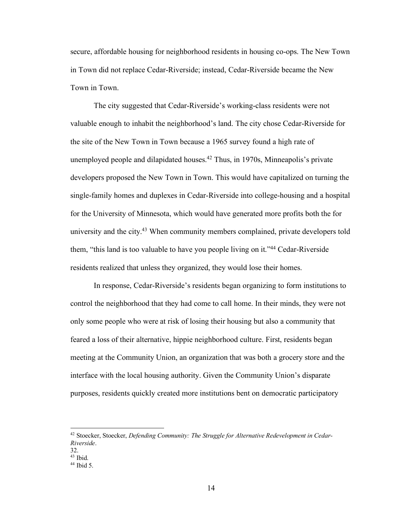secure, affordable housing for neighborhood residents in housing co-ops. The New Town in Town did not replace Cedar-Riverside; instead, Cedar-Riverside became the New Town in Town.

The city suggested that Cedar-Riverside's working-class residents were not valuable enough to inhabit the neighborhood's land. The city chose Cedar-Riverside for the site of the New Town in Town because a 1965 survey found a high rate of unemployed people and dilapidated houses.<sup>42</sup> Thus, in 1970s, Minneapolis's private developers proposed the New Town in Town. This would have capitalized on turning the single-family homes and duplexes in Cedar-Riverside into college-housing and a hospital for the University of Minnesota, which would have generated more profits both the for university and the city.<sup>43</sup> When community members complained, private developers told them, "this land is too valuable to have you people living on it."44 Cedar-Riverside residents realized that unless they organized, they would lose their homes.

In response, Cedar-Riverside's residents began organizing to form institutions to control the neighborhood that they had come to call home. In their minds, they were not only some people who were at risk of losing their housing but also a community that feared a loss of their alternative, hippie neighborhood culture. First, residents began meeting at the Community Union, an organization that was both a grocery store and the interface with the local housing authority. Given the Community Union's disparate purposes, residents quickly created more institutions bent on democratic participatory

 <sup>42</sup> Stoecker, Stoecker, *Defending Community: The Struggle for Alternative Redevelopment in Cedar-Riverside*.

 $32.$ <sup>43</sup> Ibid.

 $44$  Ibid 5.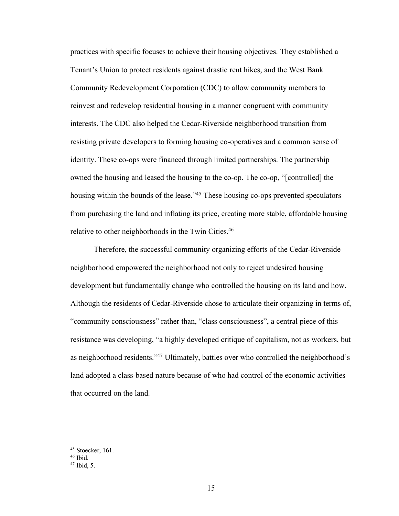practices with specific focuses to achieve their housing objectives. They established a Tenant's Union to protect residents against drastic rent hikes, and the West Bank Community Redevelopment Corporation (CDC) to allow community members to reinvest and redevelop residential housing in a manner congruent with community interests. The CDC also helped the Cedar-Riverside neighborhood transition from resisting private developers to forming housing co-operatives and a common sense of identity. These co-ops were financed through limited partnerships. The partnership owned the housing and leased the housing to the co-op. The co-op, "[controlled] the housing within the bounds of the lease.<sup>145</sup> These housing co-ops prevented speculators from purchasing the land and inflating its price, creating more stable, affordable housing relative to other neighborhoods in the Twin Cities.<sup>46</sup>

Therefore, the successful community organizing efforts of the Cedar-Riverside neighborhood empowered the neighborhood not only to reject undesired housing development but fundamentally change who controlled the housing on its land and how. Although the residents of Cedar-Riverside chose to articulate their organizing in terms of, "community consciousness" rather than, "class consciousness", a central piece of this resistance was developing, "a highly developed critique of capitalism, not as workers, but as neighborhood residents."47 Ultimately, battles over who controlled the neighborhood's land adopted a class-based nature because of who had control of the economic activities that occurred on the land.

<sup>&</sup>lt;sup>45</sup> Stoecker, 161.<br><sup>46</sup> Ibid.<br><sup>47</sup> Ibid. 5.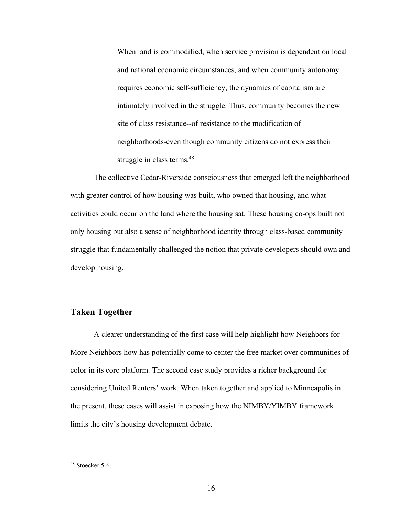When land is commodified, when service provision is dependent on local and national economic circumstances, and when community autonomy requires economic self-sufficiency, the dynamics of capitalism are intimately involved in the struggle. Thus, community becomes the new site of class resistance--of resistance to the modification of neighborhoods-even though community citizens do not express their struggle in class terms.<sup>48</sup>

The collective Cedar-Riverside consciousness that emerged left the neighborhood with greater control of how housing was built, who owned that housing, and what activities could occur on the land where the housing sat. These housing co-ops built not only housing but also a sense of neighborhood identity through class-based community struggle that fundamentally challenged the notion that private developers should own and develop housing.

#### **Taken Together**

A clearer understanding of the first case will help highlight how Neighbors for More Neighbors how has potentially come to center the free market over communities of color in its core platform. The second case study provides a richer background for considering United Renters' work. When taken together and applied to Minneapolis in the present, these cases will assist in exposing how the NIMBY/YIMBY framework limits the city's housing development debate.

 <sup>48</sup> Stoecker 5-6.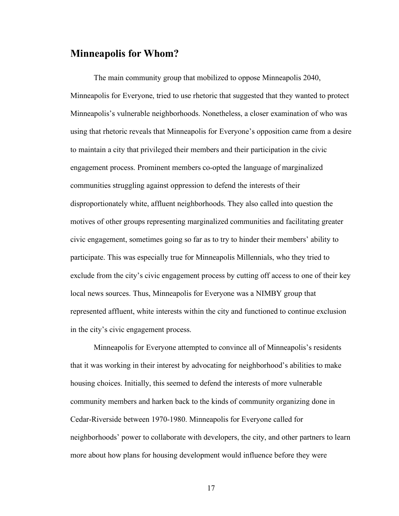## **Minneapolis for Whom?**

The main community group that mobilized to oppose Minneapolis 2040, Minneapolis for Everyone, tried to use rhetoric that suggested that they wanted to protect Minneapolis's vulnerable neighborhoods. Nonetheless, a closer examination of who was using that rhetoric reveals that Minneapolis for Everyone's opposition came from a desire to maintain a city that privileged their members and their participation in the civic engagement process. Prominent members co-opted the language of marginalized communities struggling against oppression to defend the interests of their disproportionately white, affluent neighborhoods. They also called into question the motives of other groups representing marginalized communities and facilitating greater civic engagement, sometimes going so far as to try to hinder their members' ability to participate. This was especially true for Minneapolis Millennials, who they tried to exclude from the city's civic engagement process by cutting off access to one of their key local news sources. Thus, Minneapolis for Everyone was a NIMBY group that represented affluent, white interests within the city and functioned to continue exclusion in the city's civic engagement process.

Minneapolis for Everyone attempted to convince all of Minneapolis's residents that it was working in their interest by advocating for neighborhood's abilities to make housing choices. Initially, this seemed to defend the interests of more vulnerable community members and harken back to the kinds of community organizing done in Cedar-Riverside between 1970-1980. Minneapolis for Everyone called for neighborhoods' power to collaborate with developers, the city, and other partners to learn more about how plans for housing development would influence before they were

17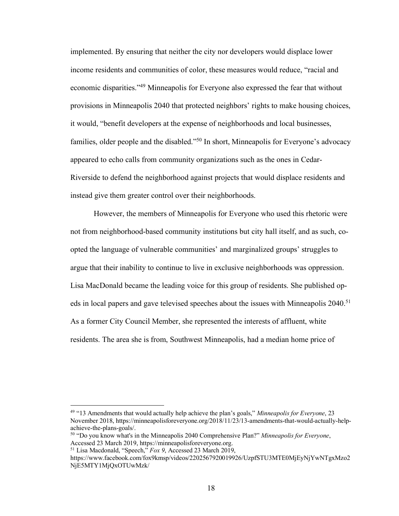implemented. By ensuring that neither the city nor developers would displace lower income residents and communities of color, these measures would reduce, "racial and economic disparities."49 Minneapolis for Everyone also expressed the fear that without provisions in Minneapolis 2040 that protected neighbors' rights to make housing choices, it would, "benefit developers at the expense of neighborhoods and local businesses, families, older people and the disabled."<sup>50</sup> In short, Minneapolis for Everyone's advocacy appeared to echo calls from community organizations such as the ones in Cedar-Riverside to defend the neighborhood against projects that would displace residents and instead give them greater control over their neighborhoods.

However, the members of Minneapolis for Everyone who used this rhetoric were not from neighborhood-based community institutions but city hall itself, and as such, coopted the language of vulnerable communities' and marginalized groups' struggles to argue that their inability to continue to live in exclusive neighborhoods was oppression. Lisa MacDonald became the leading voice for this group of residents. She published opeds in local papers and gave televised speeches about the issues with Minneapolis 2040. 51 As a former City Council Member, she represented the interests of affluent, white residents. The area she is from, Southwest Minneapolis, had a median home price of

 <sup>49</sup> "13 Amendments that would actually help achieve the plan's goals," *Minneapolis for Everyone*, 23 November 2018, https://minneapolisforeveryone.org/2018/11/23/13-amendments-that-would-actually-helpachieve-the-plans-goals/. 50 "Do you know what's in the Minneapolis 2040 Comprehensive Plan?" *Minneapolis for Everyone*,

Accessed 23 March 2019, https://minneapolisforeveryone.org.

<sup>51</sup> Lisa Macdonald, "Speech," *Fox 9*, Accessed 23 March 2019,

https://www.facebook.com/fox9kmsp/videos/2202567920019926/UzpfSTU3MTE0MjEyNjYwNTgxMzo2 NjE5MTY1MjQxOTUwMzk/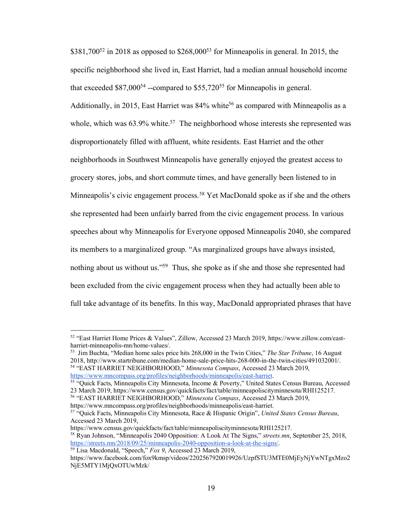$$381,700^{52}$  in 2018 as opposed to  $$268,000^{53}$  for Minneapolis in general. In 2015, the specific neighborhood she lived in, East Harriet, had a median annual household income that exceeded  $$87,000^{54}$  --compared to  $$55,720^{55}$  for Minneapolis in general. Additionally, in 2015, East Harriet was  $84\%$  white<sup>56</sup> as compared with Minneapolis as a whole, which was  $63.9\%$  white.<sup>57</sup> The neighborhood whose interests she represented was disproportionately filled with affluent, white residents. East Harriet and the other neighborhoods in Southwest Minneapolis have generally enjoyed the greatest access to grocery stores, jobs, and short commute times, and have generally been listened to in Minneapolis's civic engagement process.<sup>58</sup> Yet MacDonald spoke as if she and the others she represented had been unfairly barred from the civic engagement process. In various speeches about why Minneapolis for Everyone opposed Minneapolis 2040, she compared its members to a marginalized group. "As marginalized groups have always insisted, nothing about us without us."59 Thus, she spoke as if she and those she represented had been excluded from the civic engagement process when they had actually been able to full take advantage of its benefits. In this way, MacDonald appropriated phrases that have

 <sup>52</sup> "East Harriet Home Prices & Values", Zillow, Accessed 23 March 2019, https://www.zillow.com/eastharriet-minneapolis-mn/home-values/.<br><sup>53</sup> Jim Buchta, "Median home sales price hits 268,000 in the Twin Cities," *The Star Tribune*, 16 August

<sup>2018,</sup> http://www.startribune.com/median-home-sale-price-hits-268-000-in-the-twin-cities/491032001/. 54 "EAST HARRIET NEIGHBORHOOD," *Minnesota Compass*, Accessed 23 March 2019,

https://www.mncompass.org/profiles/neighborhoods/minneapolis/east-harriet. 55 "Quick Facts, Minneapolis City Minnesota, Income & Poverty," United States Census Bureau, Accessed 23 March 2019, https://www.census.gov/quickfacts/fact/table/minneapoliscityminnesota/RHI125217.

<sup>56</sup> "EAST HARRIET NEIGHBORHOOD," *Minnesota Compass*, Accessed 23 March 2019,

https://www.mncompass.org/profiles/neighborhoods/minneapolis/east-harriet. 57 "Quick Facts, Minneapolis City Minnesota, Race & Hispanic Origin", *United States Census Bureau*, Accessed 23 March 2019,

https://www.census.gov/quickfacts/fact/table/minneapoliscityminnesota/RHI125217. 58 Ryan Johnson, "Minneapolis 2040 Opposition: A Look At The Signs," *streets.mn*, September 25, 2018, https://streets.mn/2018/09/25/minneapolis-2040-opposition-a-look-at-the-signs/. 59 Lisa Macdonald, "Speech," *Fox 9*, Accessed 23 March 2019,

https://www.facebook.com/fox9kmsp/videos/2202567920019926/UzpfSTU3MTE0MjEyNjYwNTgxMzo2 NjE5MTY1MjQxOTUwMzk/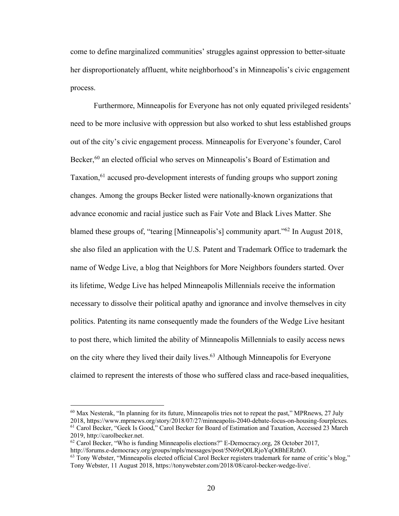come to define marginalized communities' struggles against oppression to better-situate her disproportionately affluent, white neighborhood's in Minneapolis's civic engagement process.

Furthermore, Minneapolis for Everyone has not only equated privileged residents' need to be more inclusive with oppression but also worked to shut less established groups out of the city's civic engagement process. Minneapolis for Everyone's founder, Carol Becker,<sup>60</sup> an elected official who serves on Minneapolis's Board of Estimation and Taxation,<sup>61</sup> accused pro-development interests of funding groups who support zoning changes. Among the groups Becker listed were nationally-known organizations that advance economic and racial justice such as Fair Vote and Black Lives Matter. She blamed these groups of, "tearing [Minneapolis's] community apart."62 In August 2018, she also filed an application with the U.S. Patent and Trademark Office to trademark the name of Wedge Live, a blog that Neighbors for More Neighbors founders started. Over its lifetime, Wedge Live has helped Minneapolis Millennials receive the information necessary to dissolve their political apathy and ignorance and involve themselves in city politics. Patenting its name consequently made the founders of the Wedge Live hesitant to post there, which limited the ability of Minneapolis Millennials to easily access news on the city where they lived their daily lives. <sup>63</sup> Although Minneapolis for Everyone claimed to represent the interests of those who suffered class and race-based inequalities,

 $^{60}$  Max Nesterak, "In planning for its future, Minneapolis tries not to repeat the past," MPRnews, 27 July 2018, https://www.mprnews.org/story/2018/07/27/minneapolis-2040-debate-focus-on-housing-fourplexes. <sup>61</sup> Carol Becker, "Geek Is Good," Carol Becker for Board of Estimation and Taxation, Accessed 23 March 2019, http://carolbecker.net.

 $62$  Carol Becker, "Who is funding Minneapolis elections?" E-Democracy.org, 28 October 2017, http://forums.e-democracy.org/groups/mpls/messages/post/5N69zQ0LRjoYqOtBhERzhO.

<sup>63</sup> Tony Webster, "Minneapolis elected official Carol Becker registers trademark for name of critic's blog," Tony Webster, 11 August 2018, https://tonywebster.com/2018/08/carol-becker-wedge-live/.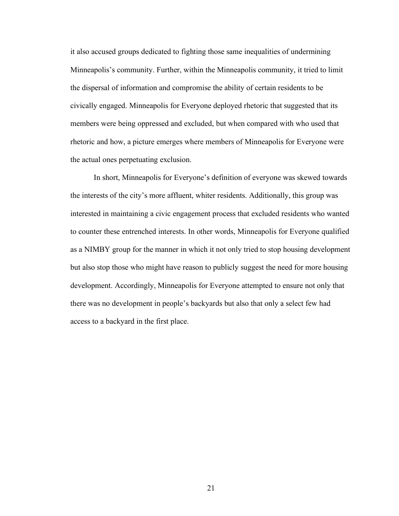it also accused groups dedicated to fighting those same inequalities of undermining Minneapolis's community. Further, within the Minneapolis community, it tried to limit the dispersal of information and compromise the ability of certain residents to be civically engaged. Minneapolis for Everyone deployed rhetoric that suggested that its members were being oppressed and excluded, but when compared with who used that rhetoric and how, a picture emerges where members of Minneapolis for Everyone were the actual ones perpetuating exclusion.

In short, Minneapolis for Everyone's definition of everyone was skewed towards the interests of the city's more affluent, whiter residents. Additionally, this group was interested in maintaining a civic engagement process that excluded residents who wanted to counter these entrenched interests. In other words, Minneapolis for Everyone qualified as a NIMBY group for the manner in which it not only tried to stop housing development but also stop those who might have reason to publicly suggest the need for more housing development. Accordingly, Minneapolis for Everyone attempted to ensure not only that there was no development in people's backyards but also that only a select few had access to a backyard in the first place.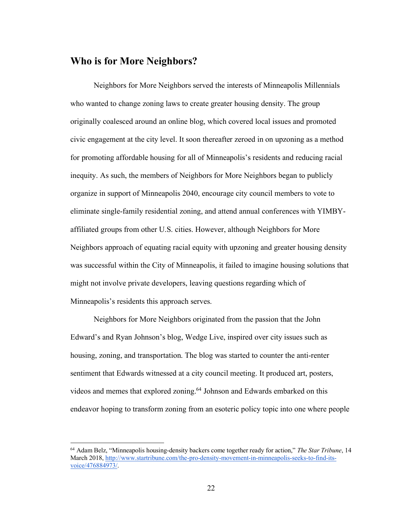## **Who is for More Neighbors?**

Neighbors for More Neighbors served the interests of Minneapolis Millennials who wanted to change zoning laws to create greater housing density. The group originally coalesced around an online blog, which covered local issues and promoted civic engagement at the city level. It soon thereafter zeroed in on upzoning as a method for promoting affordable housing for all of Minneapolis's residents and reducing racial inequity. As such, the members of Neighbors for More Neighbors began to publicly organize in support of Minneapolis 2040, encourage city council members to vote to eliminate single-family residential zoning, and attend annual conferences with YIMBYaffiliated groups from other U.S. cities. However, although Neighbors for More Neighbors approach of equating racial equity with upzoning and greater housing density was successful within the City of Minneapolis, it failed to imagine housing solutions that might not involve private developers, leaving questions regarding which of Minneapolis's residents this approach serves.

Neighbors for More Neighbors originated from the passion that the John Edward's and Ryan Johnson's blog, Wedge Live, inspired over city issues such as housing, zoning, and transportation. The blog was started to counter the anti-renter sentiment that Edwards witnessed at a city council meeting. It produced art, posters, videos and memes that explored zoning.64 Johnson and Edwards embarked on this endeavor hoping to transform zoning from an esoteric policy topic into one where people

 <sup>64</sup> Adam Belz, "Minneapolis housing-density backers come together ready for action," *The Star Tribune*, 14 March 2018, http://www.startribune.com/the-pro-density-movement-in-minneapolis-seeks-to-find-itsvoice/476884973/.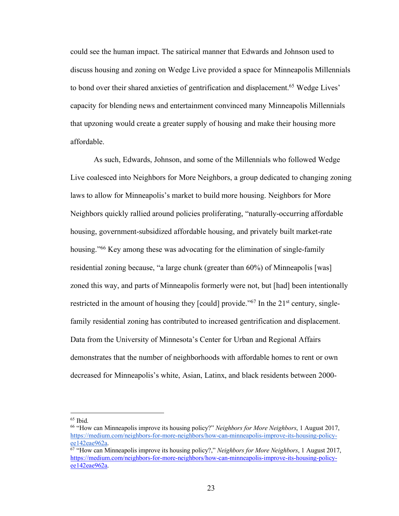could see the human impact. The satirical manner that Edwards and Johnson used to discuss housing and zoning on Wedge Live provided a space for Minneapolis Millennials to bond over their shared anxieties of gentrification and displacement.<sup>65</sup> Wedge Lives' capacity for blending news and entertainment convinced many Minneapolis Millennials that upzoning would create a greater supply of housing and make their housing more affordable.

As such, Edwards, Johnson, and some of the Millennials who followed Wedge Live coalesced into Neighbors for More Neighbors, a group dedicated to changing zoning laws to allow for Minneapolis's market to build more housing. Neighbors for More Neighbors quickly rallied around policies proliferating, "naturally-occurring affordable housing, government-subsidized affordable housing, and privately built market-rate housing."<sup>66</sup> Key among these was advocating for the elimination of single-family residential zoning because, "a large chunk (greater than 60%) of Minneapolis [was] zoned this way, and parts of Minneapolis formerly were not, but [had] been intentionally restricted in the amount of housing they [could] provide."<sup>67</sup> In the 21<sup>st</sup> century, singlefamily residential zoning has contributed to increased gentrification and displacement. Data from the University of Minnesota's Center for Urban and Regional Affairs demonstrates that the number of neighborhoods with affordable homes to rent or own decreased for Minneapolis's white, Asian, Latinx, and black residents between 2000-

 $65$  Ibid.

<sup>66</sup> "How can Minneapolis improve its housing policy?" *Neighbors for More Neighbors*, 1 August 2017, https://medium.com/neighbors-for-more-neighbors/how-can-minneapolis-improve-its-housing-policyee142eae962a. 67 "How can Minneapolis improve its housing policy?," *Neighbors for More Neighbors*, 1 August 2017,

https://medium.com/neighbors-for-more-neighbors/how-can-minneapolis-improve-its-housing-policyee142eae962a.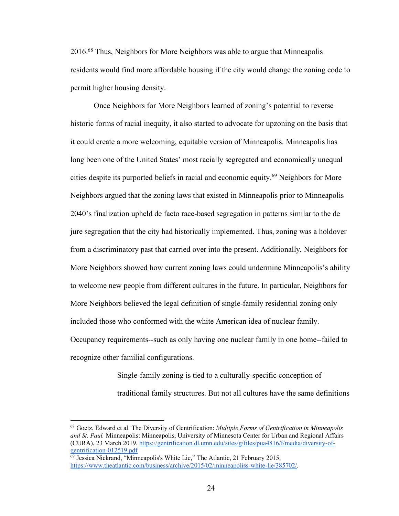2016.68 Thus, Neighbors for More Neighbors was able to argue that Minneapolis residents would find more affordable housing if the city would change the zoning code to permit higher housing density.

Once Neighbors for More Neighbors learned of zoning's potential to reverse historic forms of racial inequity, it also started to advocate for upzoning on the basis that it could create a more welcoming, equitable version of Minneapolis. Minneapolis has long been one of the United States' most racially segregated and economically unequal cities despite its purported beliefs in racial and economic equity.69 Neighbors for More Neighbors argued that the zoning laws that existed in Minneapolis prior to Minneapolis 2040's finalization upheld de facto race-based segregation in patterns similar to the de jure segregation that the city had historically implemented. Thus, zoning was a holdover from a discriminatory past that carried over into the present. Additionally, Neighbors for More Neighbors showed how current zoning laws could undermine Minneapolis's ability to welcome new people from different cultures in the future. In particular, Neighbors for More Neighbors believed the legal definition of single-family residential zoning only included those who conformed with the white American idea of nuclear family. Occupancy requirements--such as only having one nuclear family in one home--failed to recognize other familial configurations.

> Single-family zoning is tied to a culturally-specific conception of traditional family structures. But not all cultures have the same definitions

 <sup>68</sup> Goetz, Edward et al. The Diversity of Gentrification: *Multiple Forms of Gentrification in Minneapolis and St. Paul.* Minneapolis: Minneapolis, University of Minnesota Center for Urban and Regional Affairs (CURA), 23 March 2019. https://gentrification.dl.umn.edu/sites/g/files/pua4816/f/media/diversity-ofgentrification-012519.pdf

 $\frac{69}{9}$  Jessica Nickrand, "Minneapolis's White Lie," The Atlantic, 21 February 2015, https://www.theatlantic.com/business/archive/2015/02/minneapoliss-white-lie/385702/.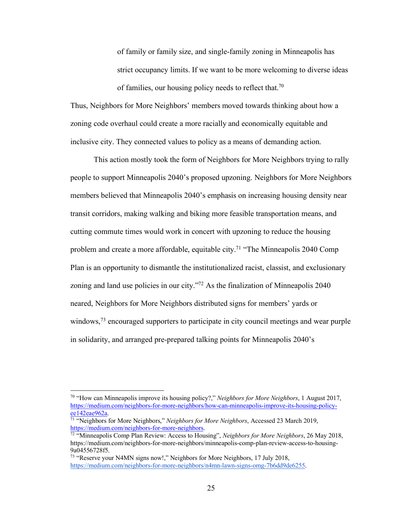of family or family size, and single-family zoning in Minneapolis has strict occupancy limits. If we want to be more welcoming to diverse ideas of families, our housing policy needs to reflect that.<sup>70</sup>

Thus, Neighbors for More Neighbors' members moved towards thinking about how a zoning code overhaul could create a more racially and economically equitable and inclusive city. They connected values to policy as a means of demanding action.

This action mostly took the form of Neighbors for More Neighbors trying to rally people to support Minneapolis 2040's proposed upzoning. Neighbors for More Neighbors members believed that Minneapolis 2040's emphasis on increasing housing density near transit corridors, making walking and biking more feasible transportation means, and cutting commute times would work in concert with upzoning to reduce the housing problem and create a more affordable, equitable city.71 "The Minneapolis 2040 Comp Plan is an opportunity to dismantle the institutionalized racist, classist, and exclusionary zoning and land use policies in our city."72 As the finalization of Minneapolis 2040 neared, Neighbors for More Neighbors distributed signs for members' yards or windows,<sup>73</sup> encouraged supporters to participate in city council meetings and wear purple in solidarity, and arranged pre-prepared talking points for Minneapolis 2040's

 <sup>70</sup> "How can Minneapolis improve its housing policy?," *Neighbors for More Neighbors*, 1 August 2017, https://medium.com/neighbors-for-more-neighbors/how-can-minneapolis-improve-its-housing-policyee142eae962a.

<sup>71</sup> "Neighbors for More Neighbors," *Neighbors for More Neighbors*, Accessed 23 March 2019, https://medium.com/neighbors-for-more-neighbors.

<sup>72</sup> "Minneapolis Comp Plan Review: Access to Housing", *Neighbors for More Neighbors*, 26 May 2018, https://medium.com/neighbors-for-more-neighbors/minneapolis-comp-plan-review-access-to-housing-9a04556728f5.

<sup>&</sup>lt;sup>73</sup> "Reserve your N4MN signs now!," Neighbors for More Neighbors, 17 July 2018, https://medium.com/neighbors-for-more-neighbors/n4mn-lawn-signs-omg-7b6dd9de6255.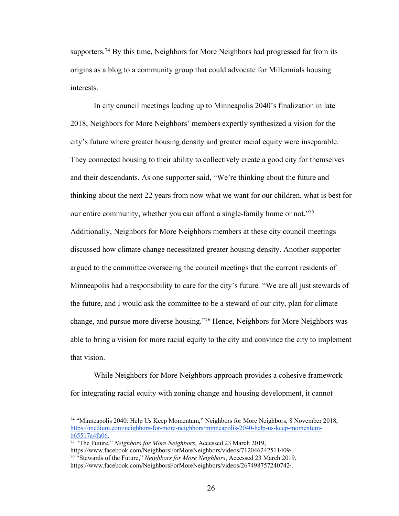supporters.<sup>74</sup> By this time, Neighbors for More Neighbors had progressed far from its origins as a blog to a community group that could advocate for Millennials housing interests.

In city council meetings leading up to Minneapolis 2040's finalization in late 2018, Neighbors for More Neighbors' members expertly synthesized a vision for the city's future where greater housing density and greater racial equity were inseparable. They connected housing to their ability to collectively create a good city for themselves and their descendants. As one supporter said, "We're thinking about the future and thinking about the next 22 years from now what we want for our children, what is best for our entire community, whether you can afford a single-family home or not."75 Additionally, Neighbors for More Neighbors members at these city council meetings discussed how climate change necessitated greater housing density. Another supporter argued to the committee overseeing the council meetings that the current residents of Minneapolis had a responsibility to care for the city's future. "We are all just stewards of the future, and I would ask the committee to be a steward of our city, plan for climate change, and pursue more diverse housing."76 Hence, Neighbors for More Neighbors was able to bring a vision for more racial equity to the city and convince the city to implement that vision.

While Neighbors for More Neighbors approach provides a cohesive framework for integrating racial equity with zoning change and housing development, it cannot

 <sup>74</sup> "Minneapolis 2040: Help Us Keep Momentum," Neighbors for More Neighbors, 8 November 2018, https://medium.com/neighbors-for-more-neighbors/minneapolis-2040-help-us-keep-momentumb65517a4fa06.

<sup>75</sup> "The Future," *Neighbors for More Neighbors*, Accessed 23 March 2019, https://www.facebook.com/NeighborsForMoreNeighbors/videos/712046242511409/. <sup>76</sup> "Stewards of the Future," *Neighbors for More Neighbors*, Accessed 23 March 2019, https://www.facebook.com/NeighborsForMoreNeighbors/videos/267498757240742/.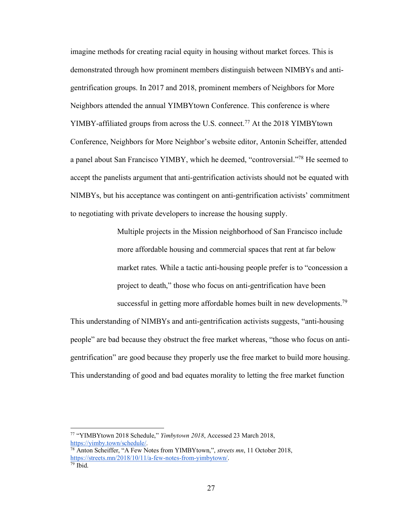imagine methods for creating racial equity in housing without market forces. This is demonstrated through how prominent members distinguish between NIMBYs and antigentrification groups. In 2017 and 2018, prominent members of Neighbors for More Neighbors attended the annual YIMBYtown Conference. This conference is where YIMBY-affiliated groups from across the U.S. connect.<sup>77</sup> At the 2018 YIMBYtown Conference, Neighbors for More Neighbor's website editor, Antonin Scheiffer, attended a panel about San Francisco YIMBY, which he deemed, "controversial."78 He seemed to accept the panelists argument that anti-gentrification activists should not be equated with NIMBYs, but his acceptance was contingent on anti-gentrification activists' commitment to negotiating with private developers to increase the housing supply.

> Multiple projects in the Mission neighborhood of San Francisco include more affordable housing and commercial spaces that rent at far below market rates. While a tactic anti-housing people prefer is to "concession a project to death," those who focus on anti-gentrification have been successful in getting more affordable homes built in new developments.<sup>79</sup>

This understanding of NIMBYs and anti-gentrification activists suggests, "anti-housing people" are bad because they obstruct the free market whereas, "those who focus on antigentrification" are good because they properly use the free market to build more housing. This understanding of good and bad equates morality to letting the free market function

 <sup>77</sup> "YIMBYtown 2018 Schedule," *Yimbytown 2018*, Accessed 23 March 2018, https://yimby.town/schedule/.

<sup>78</sup> Anton Scheiffer, "A Few Notes from YIMBYtown,", *streets mn*, 11 October 2018, https://streets.mn/2018/10/11/a-few-notes-from-yimbytown/. <sup>79</sup> Ibid.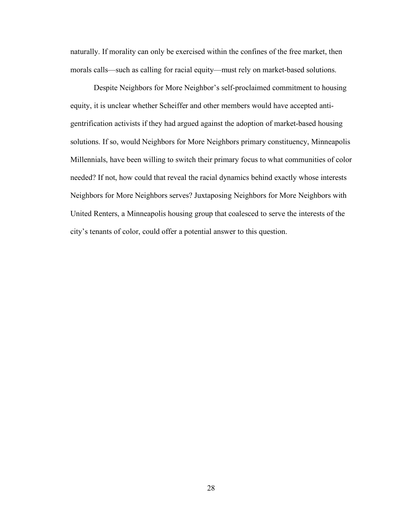naturally. If morality can only be exercised within the confines of the free market, then morals calls—such as calling for racial equity—must rely on market-based solutions.

Despite Neighbors for More Neighbor's self-proclaimed commitment to housing equity, it is unclear whether Scheiffer and other members would have accepted antigentrification activists if they had argued against the adoption of market-based housing solutions. If so, would Neighbors for More Neighbors primary constituency, Minneapolis Millennials, have been willing to switch their primary focus to what communities of color needed? If not, how could that reveal the racial dynamics behind exactly whose interests Neighbors for More Neighbors serves? Juxtaposing Neighbors for More Neighbors with United Renters, a Minneapolis housing group that coalesced to serve the interests of the city's tenants of color, could offer a potential answer to this question.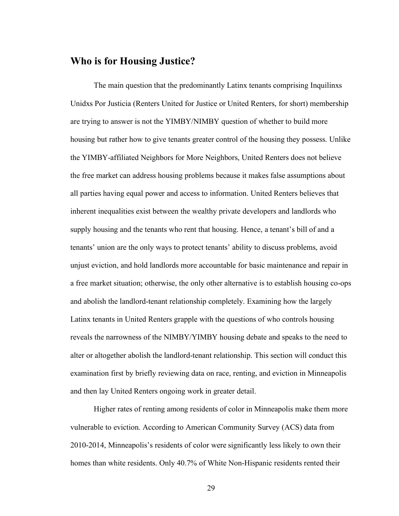## **Who is for Housing Justice?**

The main question that the predominantly Latinx tenants comprising Inquilinxs Unidxs Por Justicia (Renters United for Justice or United Renters, for short) membership are trying to answer is not the YIMBY/NIMBY question of whether to build more housing but rather how to give tenants greater control of the housing they possess. Unlike the YIMBY-affiliated Neighbors for More Neighbors, United Renters does not believe the free market can address housing problems because it makes false assumptions about all parties having equal power and access to information. United Renters believes that inherent inequalities exist between the wealthy private developers and landlords who supply housing and the tenants who rent that housing. Hence, a tenant's bill of and a tenants' union are the only ways to protect tenants' ability to discuss problems, avoid unjust eviction, and hold landlords more accountable for basic maintenance and repair in a free market situation; otherwise, the only other alternative is to establish housing co-ops and abolish the landlord-tenant relationship completely. Examining how the largely Latinx tenants in United Renters grapple with the questions of who controls housing reveals the narrowness of the NIMBY/YIMBY housing debate and speaks to the need to alter or altogether abolish the landlord-tenant relationship. This section will conduct this examination first by briefly reviewing data on race, renting, and eviction in Minneapolis and then lay United Renters ongoing work in greater detail.

Higher rates of renting among residents of color in Minneapolis make them more vulnerable to eviction. According to American Community Survey (ACS) data from 2010-2014, Minneapolis's residents of color were significantly less likely to own their homes than white residents. Only 40.7% of White Non-Hispanic residents rented their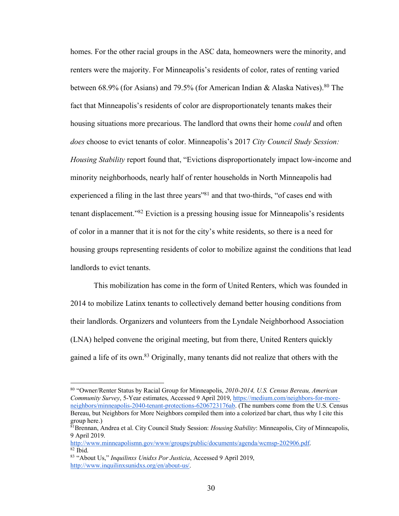homes. For the other racial groups in the ASC data, homeowners were the minority, and renters were the majority. For Minneapolis's residents of color, rates of renting varied between 68.9% (for Asians) and 79.5% (for American Indian & Alaska Natives).<sup>80</sup> The fact that Minneapolis's residents of color are disproportionately tenants makes their housing situations more precarious. The landlord that owns their home *could* and often *does* choose to evict tenants of color. Minneapolis's 2017 *City Council Study Session: Housing Stability* report found that, "Evictions disproportionately impact low-income and minority neighborhoods, nearly half of renter households in North Minneapolis had experienced a filing in the last three years<sup>"81</sup> and that two-thirds, "of cases end with tenant displacement."82 Eviction is a pressing housing issue for Minneapolis's residents of color in a manner that it is not for the city's white residents, so there is a need for housing groups representing residents of color to mobilize against the conditions that lead landlords to evict tenants.

This mobilization has come in the form of United Renters, which was founded in 2014 to mobilize Latinx tenants to collectively demand better housing conditions from their landlords. Organizers and volunteers from the Lyndale Neighborhood Association (LNA) helped convene the original meeting, but from there, United Renters quickly gained a life of its own.83 Originally, many tenants did not realize that others with the

 <sup>80</sup> "Owner/Renter Status by Racial Group for Minneapolis, *2010-2014, U.S. Census Bereau, American Community Survey*, 5-Year estimates, Accessed 9 April 2019, https://medium.com/neighbors-for-moreneighbors/minneapolis-2040-tenant-protections-6206723176ab. (The numbers come from the U.S. Census Bereau, but Neighbors for More Neighbors compiled them into a colorized bar chart, thus why I cite this group here.)

<sup>81</sup>Brennan, Andrea et al. City Council Study Session: *Housing Stability*: Minneapolis, City of Minneapolis, 9 April 2019.

http://www.minneapolismn.gov/www/groups/public/documents/agenda/wcmsp-202906.pdf. 82 Ibid. 83 "About Us," *Inquilinxs Unidxs Por Justicia*, Accessed 9 April 2019,

http://www.inquilinxsunidxs.org/en/about-us/.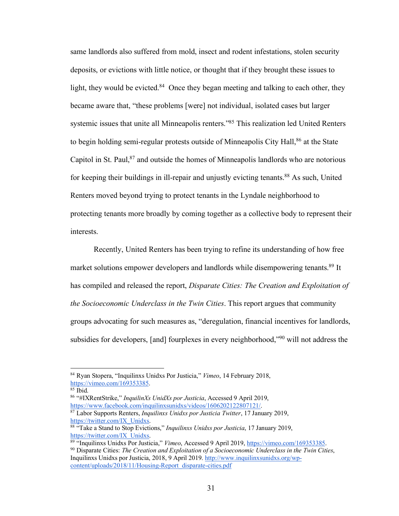same landlords also suffered from mold, insect and rodent infestations, stolen security deposits, or evictions with little notice, or thought that if they brought these issues to light, they would be evicted. $84$  Once they began meeting and talking to each other, they became aware that, "these problems [were] not individual, isolated cases but larger systemic issues that unite all Minneapolis renters."<sup>85</sup> This realization led United Renters to begin holding semi-regular protests outside of Minneapolis City Hall,<sup>86</sup> at the State Capitol in St. Paul, $87$  and outside the homes of Minneapolis landlords who are notorious for keeping their buildings in ill-repair and unjustly evicting tenants.<sup>88</sup> As such, United Renters moved beyond trying to protect tenants in the Lyndale neighborhood to protecting tenants more broadly by coming together as a collective body to represent their interests.

Recently, United Renters has been trying to refine its understanding of how free market solutions empower developers and landlords while disempowering tenants.<sup>89</sup> It has compiled and released the report, *Disparate Cities: The Creation and Exploitation of the Socioeconomic Underclass in the Twin Cities*. This report argues that community groups advocating for such measures as, "deregulation, financial incentives for landlords, subsidies for developers, [and] fourplexes in every neighborhood,"90 will not address the

 <sup>84</sup> Ryan Stopera, "Inquilinxs Unidxs Por Justicia," *Vimeo*, 14 February 2018, https://vimeo.com/169353385.<br><sup>85</sup> Ibid.

<sup>86</sup> "#IXRentStrike," *InquilinXs UnidXs por Justicia*, Accessed 9 April 2019, https://www.facebook.com/inquilinxsunidxs/videos/1606202122807121/.<br><sup>87</sup> Labor Supports Renters, *Inquilinxs Unidxs por Justicia Twitter*, 17 January 2019, https://twitter.com/IX Unidxs.

<sup>&</sup>lt;sup>88 "</sup>Take a Stand to Stop Evictions," *Inquilinxs Unidxs por Justicia*, 17 January 2019,

https://twitter.com/IX\_Unidxs.<br><sup>89</sup> "Inquilinxs Unidxs Por Justicia," *Vimeo*, Accessed 9 April 2019, https://vimeo.com/169353385.<br><sup>90</sup> Disparate Cities: *The Creation and Exploitation of a Socioeconomic Underclass in the* 

Inquilinxs Unidxs por Justicia, 2018, 9 April 2019. http://www.inquilinxsunidxs.org/wpcontent/uploads/2018/11/Housing-Report\_disparate-cities.pdf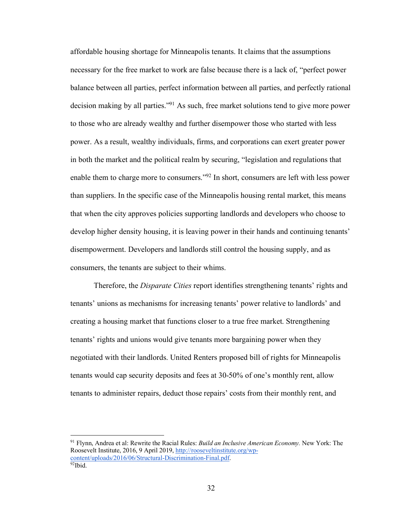affordable housing shortage for Minneapolis tenants. It claims that the assumptions necessary for the free market to work are false because there is a lack of, "perfect power balance between all parties, perfect information between all parties, and perfectly rational decision making by all parties."91 As such, free market solutions tend to give more power to those who are already wealthy and further disempower those who started with less power. As a result, wealthy individuals, firms, and corporations can exert greater power in both the market and the political realm by securing, "legislation and regulations that enable them to charge more to consumers."92 In short, consumers are left with less power than suppliers. In the specific case of the Minneapolis housing rental market, this means that when the city approves policies supporting landlords and developers who choose to develop higher density housing, it is leaving power in their hands and continuing tenants' disempowerment. Developers and landlords still control the housing supply, and as consumers, the tenants are subject to their whims.

Therefore, the *Disparate Cities* report identifies strengthening tenants' rights and tenants' unions as mechanisms for increasing tenants' power relative to landlords' and creating a housing market that functions closer to a true free market. Strengthening tenants' rights and unions would give tenants more bargaining power when they negotiated with their landlords. United Renters proposed bill of rights for Minneapolis tenants would cap security deposits and fees at 30-50% of one's monthly rent, allow tenants to administer repairs, deduct those repairs' costs from their monthly rent, and

 <sup>91</sup> Flynn, Andrea et al: Rewrite the Racial Rules: *Build an Inclusive American Economy.* New York: The Roosevelt Institute, 2016, 9 April 2019, http://rooseveltinstitute.org/wpcontent/uploads/2016/06/Structural-Discrimination-Final.pdf. 92Ibid.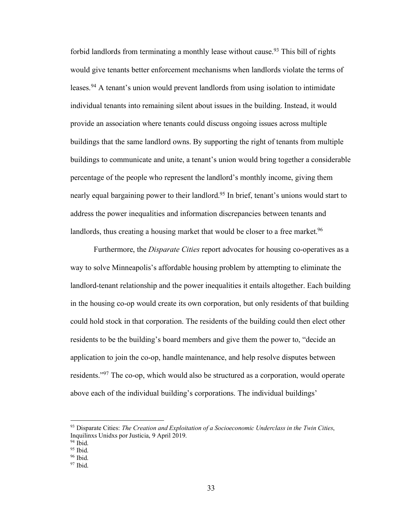forbid landlords from terminating a monthly lease without cause.<sup>93</sup> This bill of rights would give tenants better enforcement mechanisms when landlords violate the terms of leases.<sup>94</sup> A tenant's union would prevent landlords from using isolation to intimidate individual tenants into remaining silent about issues in the building. Instead, it would provide an association where tenants could discuss ongoing issues across multiple buildings that the same landlord owns. By supporting the right of tenants from multiple buildings to communicate and unite, a tenant's union would bring together a considerable percentage of the people who represent the landlord's monthly income, giving them nearly equal bargaining power to their landlord.<sup>95</sup> In brief, tenant's unions would start to address the power inequalities and information discrepancies between tenants and landlords, thus creating a housing market that would be closer to a free market.<sup>96</sup>

Furthermore, the *Disparate Cities* report advocates for housing co-operatives as a way to solve Minneapolis's affordable housing problem by attempting to eliminate the landlord-tenant relationship and the power inequalities it entails altogether. Each building in the housing co-op would create its own corporation, but only residents of that building could hold stock in that corporation. The residents of the building could then elect other residents to be the building's board members and give them the power to, "decide an application to join the co-op, handle maintenance, and help resolve disputes between residents."97 The co-op, which would also be structured as a corporation, would operate above each of the individual building's corporations. The individual buildings'

 <sup>93</sup> Disparate Cities: *The Creation and Exploitation of a Socioeconomic Underclass in the Twin Cities*, Inquilinxs Unidxs por Justicia, 9 April 2019.

 $\frac{94}{95}$  Ibid.

 $96$  Ibid.

 $97$  Ibid.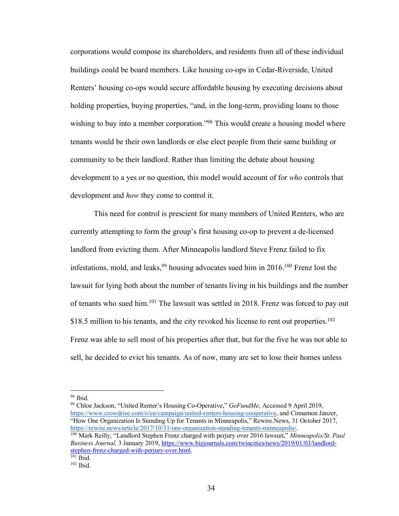corporations would compose its shareholders, and residents from all of these individual buildings could be board members. Like housing co-ops in Cedar-Riverside, United Renters' housing co-ops would secure affordable housing by executing decisions about holding properties, buying properties, "and, in the long-term, providing loans to those wishing to buy into a member corporation."<sup>98</sup> This would create a housing model where tenants would be their own landlords or else elect people from their same building or community to be their landlord. Rather than limiting the debate about housing development to a yes or no question, this model would account of for *who* controls that development and *how* they come to control it.

This need for control is prescient for many members of United Renters, who are currently attempting to form the group's first housing co-op to prevent a de-licensed landlord from evicting them. After Minneapolis landlord Steve Frenz failed to fix infestations, mold, and leaks,  $99$  housing advocates sued him in 2016.<sup>100</sup> Frenz lost the lawsuit for lying both about the number of tenants living in his buildings and the number of tenants who sued him.101 The lawsuit was settled in 2018. Frenz was forced to pay out \$18.5 million to his tenants, and the city revoked his license to rent out properties.<sup>102</sup> Frenz was able to sell most of his properties after that, but for the five he was not able to sell, he decided to evict his tenants. As of now, many are set to lose their homes unless

 <sup>98</sup> Ibid.

<sup>99</sup> Chloe Jackson, "United Renter's Housing Co-Operative," *GoFundMe*, Accessed 9 April 2019, https://www.crowdrise.com/o/en/campaign/united-renters-housing-cooperative, and Cinnamon Janzer, "How One Organization Is Standing Up for Tenants in Minneapolis," Rewire.News, 31 October 2017, https://rewire.news/article/2017/10/31/one-organization-standing-tenants-minneapolis/. 100 Mark Reilly, "Landlord Stephen Frenz charged with perjury over 2016 lawsuit," *Minneapolis/St. Paul* 

*Business Journal,* 3 January 2019, https://www.bizjournals.com/twincities/news/2019/01/03/landlordstephen-frenz-charged-with-perjury-over.html.<br><sup>101</sup> Ibid.

 $102$  Ibid.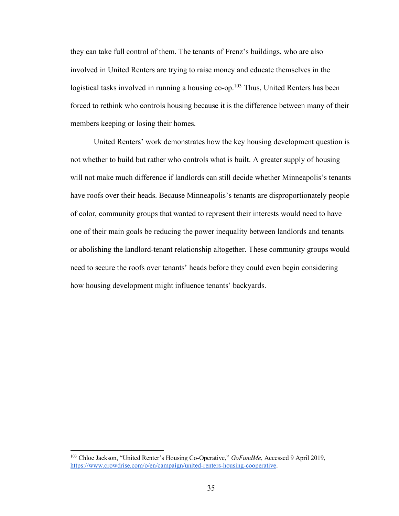they can take full control of them. The tenants of Frenz's buildings, who are also involved in United Renters are trying to raise money and educate themselves in the logistical tasks involved in running a housing co-op.<sup>103</sup> Thus, United Renters has been forced to rethink who controls housing because it is the difference between many of their members keeping or losing their homes.

United Renters' work demonstrates how the key housing development question is not whether to build but rather who controls what is built. A greater supply of housing will not make much difference if landlords can still decide whether Minneapolis's tenants have roofs over their heads. Because Minneapolis's tenants are disproportionately people of color, community groups that wanted to represent their interests would need to have one of their main goals be reducing the power inequality between landlords and tenants or abolishing the landlord-tenant relationship altogether. These community groups would need to secure the roofs over tenants' heads before they could even begin considering how housing development might influence tenants' backyards.

 <sup>103</sup> Chloe Jackson, "United Renter's Housing Co-Operative," *GoFundMe*, Accessed 9 April 2019, https://www.crowdrise.com/o/en/campaign/united-renters-housing-cooperative.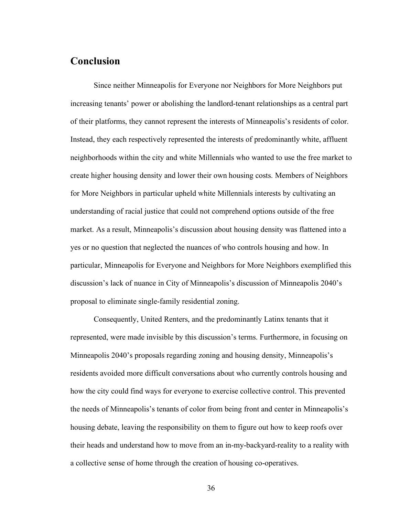## **Conclusion**

Since neither Minneapolis for Everyone nor Neighbors for More Neighbors put increasing tenants' power or abolishing the landlord-tenant relationships as a central part of their platforms, they cannot represent the interests of Minneapolis's residents of color. Instead, they each respectively represented the interests of predominantly white, affluent neighborhoods within the city and white Millennials who wanted to use the free market to create higher housing density and lower their own housing costs. Members of Neighbors for More Neighbors in particular upheld white Millennials interests by cultivating an understanding of racial justice that could not comprehend options outside of the free market. As a result, Minneapolis's discussion about housing density was flattened into a yes or no question that neglected the nuances of who controls housing and how. In particular, Minneapolis for Everyone and Neighbors for More Neighbors exemplified this discussion's lack of nuance in City of Minneapolis's discussion of Minneapolis 2040's proposal to eliminate single-family residential zoning.

Consequently, United Renters, and the predominantly Latinx tenants that it represented, were made invisible by this discussion's terms. Furthermore, in focusing on Minneapolis 2040's proposals regarding zoning and housing density, Minneapolis's residents avoided more difficult conversations about who currently controls housing and how the city could find ways for everyone to exercise collective control. This prevented the needs of Minneapolis's tenants of color from being front and center in Minneapolis's housing debate, leaving the responsibility on them to figure out how to keep roofs over their heads and understand how to move from an in-my-backyard-reality to a reality with a collective sense of home through the creation of housing co-operatives.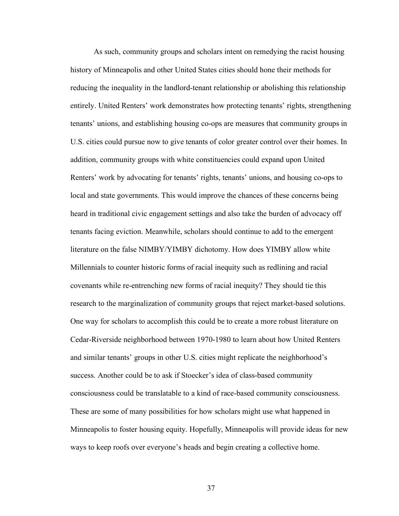As such, community groups and scholars intent on remedying the racist housing history of Minneapolis and other United States cities should hone their methods for reducing the inequality in the landlord-tenant relationship or abolishing this relationship entirely. United Renters' work demonstrates how protecting tenants' rights, strengthening tenants' unions, and establishing housing co-ops are measures that community groups in U.S. cities could pursue now to give tenants of color greater control over their homes. In addition, community groups with white constituencies could expand upon United Renters' work by advocating for tenants' rights, tenants' unions, and housing co-ops to local and state governments. This would improve the chances of these concerns being heard in traditional civic engagement settings and also take the burden of advocacy off tenants facing eviction. Meanwhile, scholars should continue to add to the emergent literature on the false NIMBY/YIMBY dichotomy. How does YIMBY allow white Millennials to counter historic forms of racial inequity such as redlining and racial covenants while re-entrenching new forms of racial inequity? They should tie this research to the marginalization of community groups that reject market-based solutions. One way for scholars to accomplish this could be to create a more robust literature on Cedar-Riverside neighborhood between 1970-1980 to learn about how United Renters and similar tenants' groups in other U.S. cities might replicate the neighborhood's success. Another could be to ask if Stoecker's idea of class-based community consciousness could be translatable to a kind of race-based community consciousness. These are some of many possibilities for how scholars might use what happened in Minneapolis to foster housing equity. Hopefully, Minneapolis will provide ideas for new ways to keep roofs over everyone's heads and begin creating a collective home.

37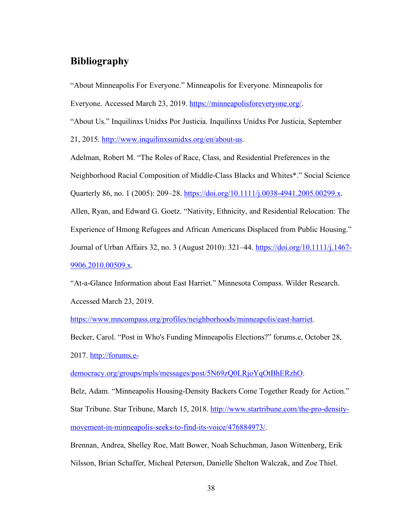## **Bibliography**

"About Minneapolis For Everyone." Minneapolis for Everyone. Minneapolis for

Everyone. Accessed March 23, 2019. https://minneapolisforeveryone.org/.

"About Us." Inquilinxs Unidxs Por Justicia. Inquilinxs Unidxs Por Justicia, September

21, 2015. http://www.inquilinxsunidxs.org/en/about-us.

Adelman, Robert M. "The Roles of Race, Class, and Residential Preferences in the Neighborhood Racial Composition of Middle-Class Blacks and Whites\*." Social Science Quarterly 86, no. 1 (2005): 209–28. https://doi.org/10.1111/j.0038-4941.2005.00299.x. Allen, Ryan, and Edward G. Goetz. "Nativity, Ethnicity, and Residential Relocation: The Experience of Hmong Refugees and African Americans Displaced from Public Housing." Journal of Urban Affairs 32, no. 3 (August 2010): 321–44. https://doi.org/10.1111/j.1467- 9906.2010.00509.x.

"At-a-Glance Information about East Harriet." Minnesota Compass. Wilder Research. Accessed March 23, 2019.

https://www.mncompass.org/profiles/neighborhoods/minneapolis/east-harriet.

Becker, Carol. "Post in Who's Funding Minneapolis Elections?" forums.e, October 28,

2017. http://forums.e-

democracy.org/groups/mpls/messages/post/5N69zQ0LRjoYqOtBhERzhO.

Belz, Adam. "Minneapolis Housing-Density Backers Come Together Ready for Action." Star Tribune. Star Tribune, March 15, 2018. http://www.startribune.com/the-pro-densitymovement-in-minneapolis-seeks-to-find-its-voice/476884973/.

Brennan, Andrea, Shelley Roe, Matt Bower, Noah Schuchman, Jason Wittenberg, Erik Nilsson, Brian Schaffer, Micheal Peterson, Danielle Shelton Walczak, and Zoe Thiel.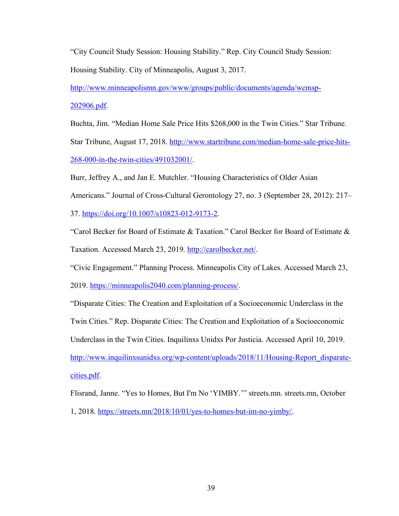"City Council Study Session: Housing Stability." Rep. City Council Study Session: Housing Stability. City of Minneapolis, August 3, 2017.

http://www.minneapolismn.gov/www/groups/public/documents/agenda/wcmsp-202906.pdf.

Buchta, Jim. "Median Home Sale Price Hits \$268,000 in the Twin Cities." Star Tribune.

Star Tribune, August 17, 2018. http://www.startribune.com/median-home-sale-price-hits-268-000-in-the-twin-cities/491032001/.

Burr, Jeffrey A., and Jan E. Mutchler. "Housing Characteristics of Older Asian

Americans." Journal of Cross-Cultural Gerontology 27, no. 3 (September 28, 2012): 217–

37. https://doi.org/10.1007/s10823-012-9173-2.

"Carol Becker for Board of Estimate & Taxation." Carol Becker for Board of Estimate & Taxation. Accessed March 23, 2019. http://carolbecker.net/.

"Civic Engagement." Planning Process. Minneapolis City of Lakes. Accessed March 23,

2019. https://minneapolis2040.com/planning-process/.

"Disparate Cities: The Creation and Exploitation of a Socioeconomic Underclass in the

Twin Cities." Rep. Disparate Cities: The Creation and Exploitation of a Socioeconomic

Underclass in the Twin Cities. Inquilinxs Unidxs Por Justicia. Accessed April 10, 2019.

http://www.inquilinxsunidxs.org/wp-content/uploads/2018/11/Housing-Report\_disparatecities.pdf.

Flisrand, Janne. "Yes to Homes, But I'm No 'YIMBY.'" streets.mn. streets.mn, October 1, 2018. https://streets.mn/2018/10/01/yes-to-homes-but-im-no-yimby/.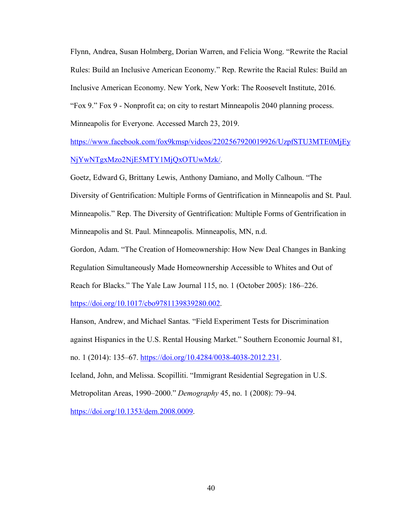Flynn, Andrea, Susan Holmberg, Dorian Warren, and Felicia Wong. "Rewrite the Racial Rules: Build an Inclusive American Economy." Rep. Rewrite the Racial Rules: Build an Inclusive American Economy. New York, New York: The Roosevelt Institute, 2016. "Fox 9." Fox 9 - Nonprofit ca; on city to restart Minneapolis 2040 planning process. Minneapolis for Everyone. Accessed March 23, 2019.

https://www.facebook.com/fox9kmsp/videos/2202567920019926/UzpfSTU3MTE0MjEy NjYwNTgxMzo2NjE5MTY1MjQxOTUwMzk/.

Goetz, Edward G, Brittany Lewis, Anthony Damiano, and Molly Calhoun. "The Diversity of Gentrification: Multiple Forms of Gentrification in Minneapolis and St. Paul. Minneapolis." Rep. The Diversity of Gentrification: Multiple Forms of Gentrification in Minneapolis and St. Paul. Minneapolis. Minneapolis, MN, n.d.

Gordon, Adam. "The Creation of Homeownership: How New Deal Changes in Banking Regulation Simultaneously Made Homeownership Accessible to Whites and Out of Reach for Blacks." The Yale Law Journal 115, no. 1 (October 2005): 186–226.

https://doi.org/10.1017/cbo9781139839280.002.

Hanson, Andrew, and Michael Santas. "Field Experiment Tests for Discrimination against Hispanics in the U.S. Rental Housing Market." Southern Economic Journal 81, no. 1 (2014): 135–67. https://doi.org/10.4284/0038-4038-2012.231.

Iceland, John, and Melissa. Scopilliti. "Immigrant Residential Segregation in U.S. Metropolitan Areas, 1990–2000." *Demography* 45, no. 1 (2008): 79–94.

https://doi.org/10.1353/dem.2008.0009.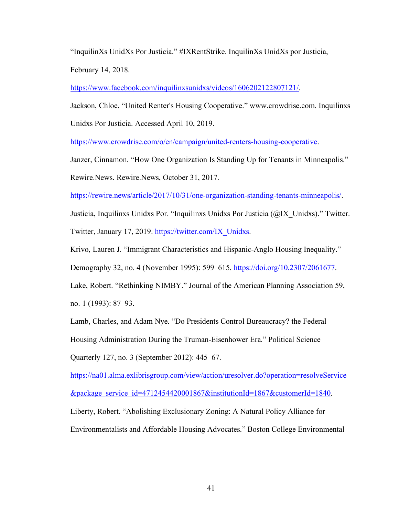"InquilinXs UnidXs Por Justicia." #IXRentStrike. InquilinXs UnidXs por Justicia, February 14, 2018.

https://www.facebook.com/inquilinxsunidxs/videos/1606202122807121/.

Jackson, Chloe. "United Renter's Housing Cooperative." www.crowdrise.com. Inquilinxs

Unidxs Por Justicia. Accessed April 10, 2019.

https://www.crowdrise.com/o/en/campaign/united-renters-housing-cooperative.

Janzer, Cinnamon. "How One Organization Is Standing Up for Tenants in Minneapolis."

Rewire.News. Rewire.News, October 31, 2017.

https://rewire.news/article/2017/10/31/one-organization-standing-tenants-minneapolis/.

Justicia, Inquilinxs Unidxs Por. "Inquilinxs Unidxs Por Justicia (@IX\_Unidxs)." Twitter. Twitter, January 17, 2019. https://twitter.com/IX\_Unidxs.

Krivo, Lauren J. "Immigrant Characteristics and Hispanic-Anglo Housing Inequality."

Demography 32, no. 4 (November 1995): 599–615. https://doi.org/10.2307/2061677.

Lake, Robert. "Rethinking NIMBY." Journal of the American Planning Association 59, no. 1 (1993): 87–93.

Lamb, Charles, and Adam Nye. "Do Presidents Control Bureaucracy? the Federal Housing Administration During the Truman-Eisenhower Era." Political Science Quarterly 127, no. 3 (September 2012): 445–67.

https://na01.alma.exlibrisgroup.com/view/action/uresolver.do?operation=resolveService  $\&$ package service id=4712454420001867 $\&$ institutionId=1867 $\&$ customerId=1840. Liberty, Robert. "Abolishing Exclusionary Zoning: A Natural Policy Alliance for

Environmentalists and Affordable Housing Advocates." Boston College Environmental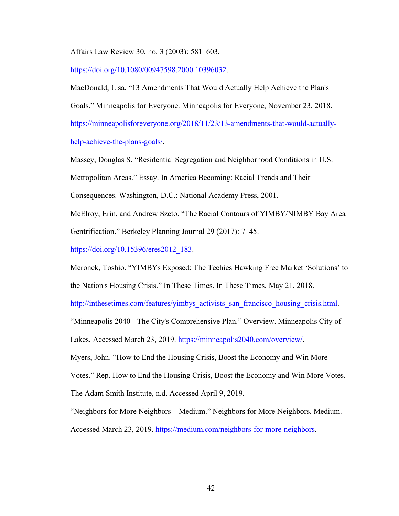Affairs Law Review 30, no. 3 (2003): 581–603.

https://doi.org/10.1080/00947598.2000.10396032.

MacDonald, Lisa. "13 Amendments That Would Actually Help Achieve the Plan's Goals." Minneapolis for Everyone. Minneapolis for Everyone, November 23, 2018. https://minneapolisforeveryone.org/2018/11/23/13-amendments-that-would-actuallyhelp-achieve-the-plans-goals/.

Massey, Douglas S. "Residential Segregation and Neighborhood Conditions in U.S. Metropolitan Areas." Essay. In America Becoming: Racial Trends and Their Consequences. Washington, D.C.: National Academy Press, 2001.

McElroy, Erin, and Andrew Szeto. "The Racial Contours of YIMBY/NIMBY Bay Area Gentrification." Berkeley Planning Journal 29 (2017): 7–45.

https://doi.org/10.15396/eres2012 183.

Meronek, Toshio. "YIMBYs Exposed: The Techies Hawking Free Market 'Solutions' to the Nation's Housing Crisis." In These Times. In These Times, May 21, 2018.

http://inthesetimes.com/features/yimbys\_activists\_san\_francisco\_housing\_crisis.html.

"Minneapolis 2040 - The City's Comprehensive Plan." Overview. Minneapolis City of

Lakes. Accessed March 23, 2019. https://minneapolis2040.com/overview/.

Myers, John. "How to End the Housing Crisis, Boost the Economy and Win More

Votes." Rep. How to End the Housing Crisis, Boost the Economy and Win More Votes.

The Adam Smith Institute, n.d. Accessed April 9, 2019.

"Neighbors for More Neighbors – Medium." Neighbors for More Neighbors. Medium.

Accessed March 23, 2019. https://medium.com/neighbors-for-more-neighbors.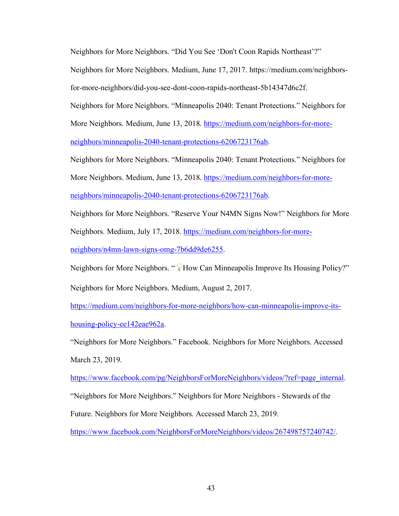Neighbors for More Neighbors. "Did You See 'Don't Coon Rapids Northeast'?"

Neighbors for More Neighbors. Medium, June 17, 2017. https://medium.com/neighborsfor-more-neighbors/did-you-see-dont-coon-rapids-northeast-5b14347d6c2f.

Neighbors for More Neighbors. "Minneapolis 2040: Tenant Protections." Neighbors for More Neighbors. Medium, June 13, 2018. https://medium.com/neighbors-for-moreneighbors/minneapolis-2040-tenant-protections-6206723176ab.

Neighbors for More Neighbors. "Minneapolis 2040: Tenant Protections." Neighbors for More Neighbors. Medium, June 13, 2018. https://medium.com/neighbors-for-moreneighbors/minneapolis-2040-tenant-protections-6206723176ab.

Neighbors for More Neighbors. "Reserve Your N4MN Signs Now!" Neighbors for More Neighbors. Medium, July 17, 2018. https://medium.com/neighbors-for-moreneighbors/n4mn-lawn-signs-omg-7b6dd9de6255.

Neighbors for More Neighbors. " Whow Can Minneapolis Improve Its Housing Policy?"

Neighbors for More Neighbors. Medium, August 2, 2017.

https://medium.com/neighbors-for-more-neighbors/how-can-minneapolis-improve-itshousing-policy-ee142eae962a.

"Neighbors for More Neighbors." Facebook. Neighbors for More Neighbors. Accessed March 23, 2019.

https://www.facebook.com/pg/NeighborsForMoreNeighbors/videos/?ref=page\_internal.

"Neighbors for More Neighbors." Neighbors for More Neighbors - Stewards of the

Future. Neighbors for More Neighbors. Accessed March 23, 2019.

https://www.facebook.com/NeighborsForMoreNeighbors/videos/267498757240742/.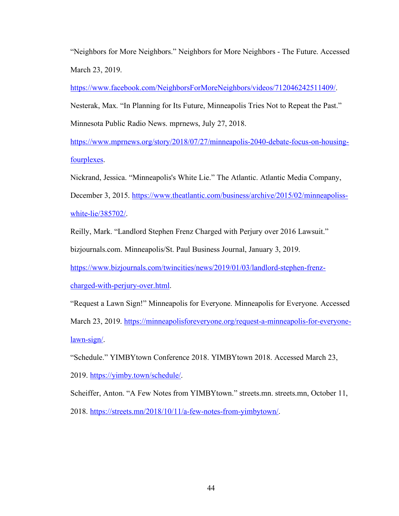"Neighbors for More Neighbors." Neighbors for More Neighbors - The Future. Accessed March 23, 2019.

https://www.facebook.com/NeighborsForMoreNeighbors/videos/712046242511409/.

Nesterak, Max. "In Planning for Its Future, Minneapolis Tries Not to Repeat the Past."

Minnesota Public Radio News. mprnews, July 27, 2018.

https://www.mprnews.org/story/2018/07/27/minneapolis-2040-debate-focus-on-housingfourplexes.

Nickrand, Jessica. "Minneapolis's White Lie." The Atlantic. Atlantic Media Company,

December 3, 2015. https://www.theatlantic.com/business/archive/2015/02/minneapolisswhite-lie/385702/.

Reilly, Mark. "Landlord Stephen Frenz Charged with Perjury over 2016 Lawsuit."

bizjournals.com. Minneapolis/St. Paul Business Journal, January 3, 2019.

https://www.bizjournals.com/twincities/news/2019/01/03/landlord-stephen-frenz-

charged-with-perjury-over.html.

"Request a Lawn Sign!" Minneapolis for Everyone. Minneapolis for Everyone. Accessed

March 23, 2019. https://minneapolisforeveryone.org/request-a-minneapolis-for-everyonelawn-sign/.

"Schedule." YIMBYtown Conference 2018. YIMBYtown 2018. Accessed March 23,

2019. https://yimby.town/schedule/.

Scheiffer, Anton. "A Few Notes from YIMBYtown." streets.mn. streets.mn, October 11,

2018. https://streets.mn/2018/10/11/a-few-notes-from-yimbytown/.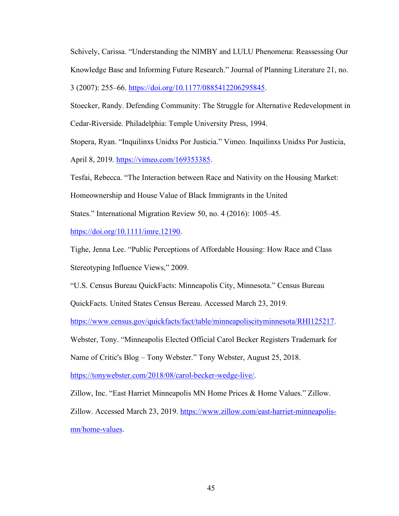Schively, Carissa. "Understanding the NIMBY and LULU Phenomena: Reassessing Our Knowledge Base and Informing Future Research." Journal of Planning Literature 21, no. 3 (2007): 255–66. https://doi.org/10.1177/0885412206295845.

Stoecker, Randy. Defending Community: The Struggle for Alternative Redevelopment in Cedar-Riverside. Philadelphia: Temple University Press, 1994.

Stopera, Ryan. "Inquilinxs Unidxs Por Justicia." Vimeo. Inquilinxs Unidxs Por Justicia,

April 8, 2019. https://vimeo.com/169353385.

Tesfai, Rebecca. "The Interaction between Race and Nativity on the Housing Market:

Homeownership and House Value of Black Immigrants in the United

States." International Migration Review 50, no. 4 (2016): 1005–45.

https://doi.org/10.1111/imre.12190.

Tighe, Jenna Lee. "Public Perceptions of Affordable Housing: How Race and Class Stereotyping Influence Views," 2009.

"U.S. Census Bureau QuickFacts: Minneapolis City, Minnesota." Census Bureau

QuickFacts. United States Census Bereau. Accessed March 23, 2019.

https://www.census.gov/quickfacts/fact/table/minneapoliscityminnesota/RHI125217.

Webster, Tony. "Minneapolis Elected Official Carol Becker Registers Trademark for

Name of Critic's Blog – Tony Webster." Tony Webster, August 25, 2018.

https://tonywebster.com/2018/08/carol-becker-wedge-live/.

Zillow, Inc. "East Harriet Minneapolis MN Home Prices & Home Values." Zillow.

Zillow. Accessed March 23, 2019. https://www.zillow.com/east-harriet-minneapolismn/home-values.